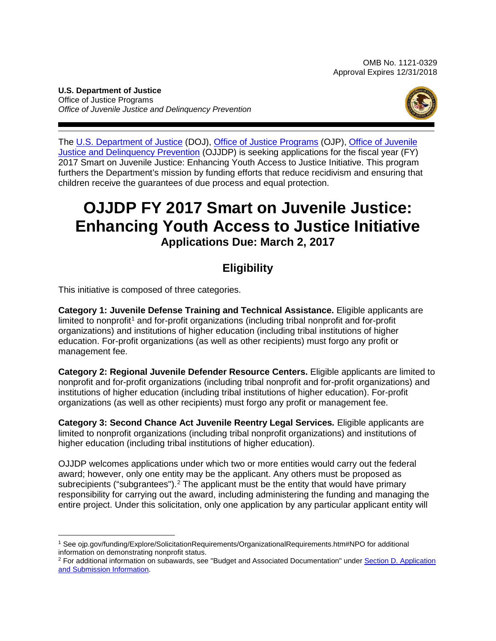**U.S. Department of Justice** Office of Justice Programs *Office of Juvenile Justice and Delinquency Prevention*



The [U.S. Department of Justice](http://www.usdoj.gov/) (DOJ), [Office of Justice Programs](http://www.ojp.usdoj.gov/) (OJP), [Office of Juvenile](http://www.ojjdp.gov/)  [Justice and Delinquency Prevention](http://www.ojjdp.gov/) (OJJDP) is seeking applications for the fiscal year (FY) 2017 Smart on Juvenile Justice: Enhancing Youth Access to Justice Initiative. This program furthers the Department's mission by funding efforts that reduce recidivism and ensuring that children receive the guarantees of due process and equal protection.

# **OJJDP FY 2017 Smart on Juvenile Justice: Enhancing Youth Access to Justice Initiative Applications Due: March 2, 2017**

# **Eligibility**

This initiative is composed of three categories.

**Category 1: Juvenile Defense Training and Technical Assistance.** Eligible applicants are  $limited to nonprofit<sup>1</sup>$  $limited to nonprofit<sup>1</sup>$  $limited to nonprofit<sup>1</sup>$  and for-profit organizations (including tribal nonprofit and for-profit organizations) and institutions of higher education (including tribal institutions of higher education. For-profit organizations (as well as other recipients) must forgo any profit or management fee.

**Category 2: Regional Juvenile Defender Resource Centers.** Eligible applicants are limited to nonprofit and for-profit organizations (including tribal nonprofit and for-profit organizations) and institutions of higher education (including tribal institutions of higher education). For-profit organizations (as well as other recipients) must forgo any profit or management fee.

**Category 3: Second Chance Act Juvenile Reentry Legal Services***.* Eligible applicants are limited to nonprofit organizations (including tribal nonprofit organizations) and institutions of higher education (including tribal institutions of higher education).

OJJDP welcomes applications under which two or more entities would carry out the federal award; however, only one entity may be the applicant. Any others must be proposed as subrecipients ("subgrantees").<sup>[2](#page-0-1)</sup> The applicant must be the entity that would have primary responsibility for carrying out the award, including administering the funding and managing the entire project. Under this solicitation, only one application by any particular applicant entity will

<span id="page-0-0"></span> $\overline{a}$ <sup>1</sup> See ojp.gov/funding/Explore/SolicitationRequirements/OrganizationalRequirements.htm#NPO for additional information on demonstrating nonprofit status.

<span id="page-0-1"></span><sup>&</sup>lt;sup>2</sup> For additional information on subawards, see "Budget and Associated Documentation" under Section D. Application [and Submission Information.](#page-14-0)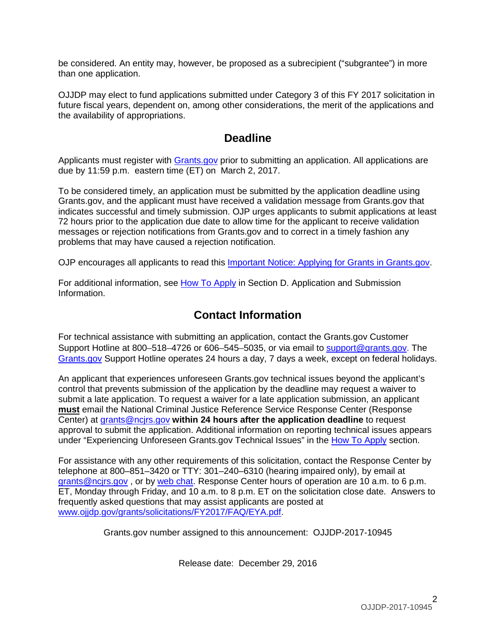be considered. An entity may, however, be proposed as a subrecipient ("subgrantee") in more than one application.

OJJDP may elect to fund applications submitted under Category 3 of this FY 2017 solicitation in future fiscal years, dependent on, among other considerations, the merit of the applications and the availability of appropriations.

# **Deadline**

Applicants must register with **Grants.gov** prior to submitting an application. All applications are due by 11:59 p.m. eastern time (ET) on March 2, 2017.

To be considered timely, an application must be submitted by the application deadline using Grants.gov, and the applicant must have received a validation message from Grants.gov that indicates successful and timely submission. OJP urges applicants to submit applications at least 72 hours prior to the application due date to allow time for the applicant to receive validation messages or rejection notifications from Grants.gov and to correct in a timely fashion any problems that may have caused a rejection notification.

OJP encourages all applicants to read this [Important Notice: Applying for Grants in Grants.gov.](http://ojp.gov/funding/Apply/Grants-govInfo.htm)

For additional information, see How [To Apply](#page-30-0) in Section D. Application and Submission [Information.](#page-14-0)

# **Contact Information**

For technical assistance with submitting an application, contact the Grants.gov Customer Support Hotline at 800–518–4726 or 606–545–5035, or via email to [support@grants.gov.](mailto:support@grants.gov) The [Grants.gov](http://www.grants.gov/web/grants/support.html) Support Hotline operates 24 hours a day, 7 days a week, except on federal holidays.

An applicant that experiences unforeseen Grants.gov technical issues beyond the applicant's control that prevents submission of the application by the deadline may request a waiver to submit a late application. To request a waiver for a late application submission, an applicant **must** email the National Criminal Justice Reference Service Response Center (Response Center) at [grants@ncjrs.gov](mailto:grants@ncjrs.gov) **within 24 hours after the application deadline** to request approval to submit the application. Additional information on reporting technical issues appears under "Experiencing Unforeseen Grants.gov Technical Issues" in the [How To Apply](#page-30-0) section.

For assistance with any other requirements of this solicitation, contact the Response Center by telephone at 800–851–3420 or TTY: 301–240–6310 (hearing impaired only), by email at [grants@ncjrs.gov](mailto:grants@ncjrs.gov) , or by [web chat.](https://webcontact.ncjrs.gov/ncjchat/chat.jsp) Response Center hours of operation are 10 a.m. to 6 p.m. ET, Monday through Friday, and 10 a.m. to 8 p.m. ET on the solicitation close date. Answers to frequently asked questions that may assist applicants are posted at [www.ojjdp.gov/grants/solicitations/FY2017/FAQ/EYA.pdf.](http://www.ojjdp.gov/grants/solicitations/FY2017/FAQ/EYA.pdf)

Grants.gov number assigned to this announcement: OJJDP-2017-10945

Release date: December 29, 2016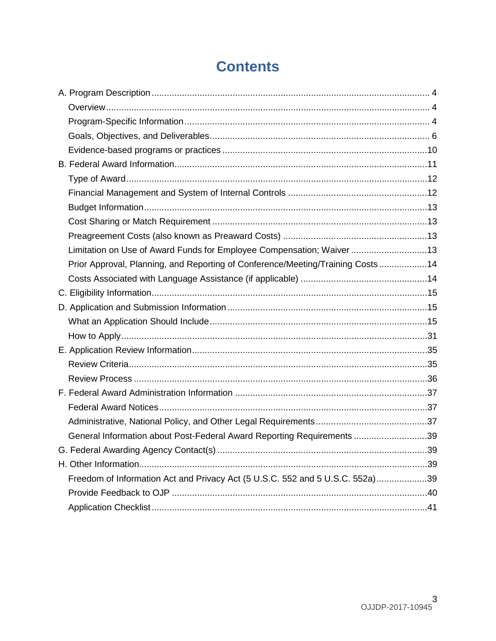# **Contents**

| Limitation on Use of Award Funds for Employee Compensation; Waiver 13          |  |
|--------------------------------------------------------------------------------|--|
| Prior Approval, Planning, and Reporting of Conference/Meeting/Training Costs14 |  |
|                                                                                |  |
|                                                                                |  |
|                                                                                |  |
|                                                                                |  |
|                                                                                |  |
|                                                                                |  |
|                                                                                |  |
|                                                                                |  |
|                                                                                |  |
|                                                                                |  |
|                                                                                |  |
| General Information about Post-Federal Award Reporting Requirements 39         |  |
|                                                                                |  |
|                                                                                |  |
| Freedom of Information Act and Privacy Act (5 U.S.C. 552 and 5 U.S.C. 552a)39  |  |
|                                                                                |  |
|                                                                                |  |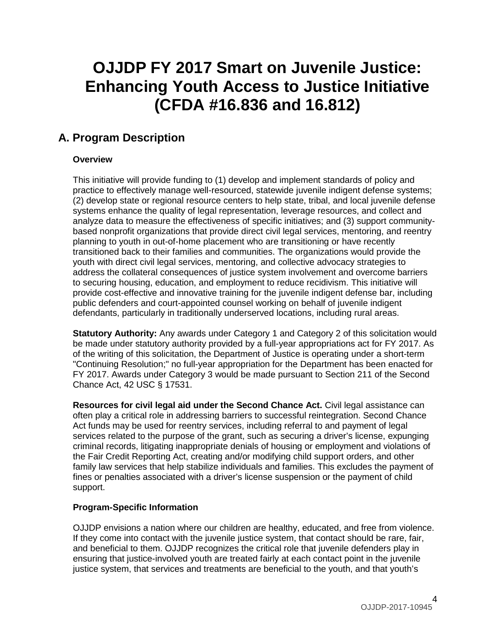# **OJJDP FY 2017 Smart on Juvenile Justice: Enhancing Youth Access to Justice Initiative (CFDA #16.836 and 16.812)**

# <span id="page-3-0"></span>**A. Program Description**

# <span id="page-3-1"></span>**Overview**

This initiative will provide funding to (1) develop and implement standards of policy and practice to effectively manage well-resourced, statewide juvenile indigent defense systems; (2) develop state or regional resource centers to help state, tribal, and local juvenile defense systems enhance the quality of legal representation, leverage resources, and collect and analyze data to measure the effectiveness of specific initiatives; and (3) support communitybased nonprofit organizations that provide direct civil legal services, mentoring, and reentry planning to youth in out-of-home placement who are transitioning or have recently transitioned back to their families and communities. The organizations would provide the youth with direct civil legal services, mentoring, and collective advocacy strategies to address the collateral consequences of justice system involvement and overcome barriers to securing housing, education, and employment to reduce recidivism. This initiative will provide cost-effective and innovative training for the juvenile indigent defense bar, including public defenders and court-appointed counsel working on behalf of juvenile indigent defendants, particularly in traditionally underserved locations, including rural areas.

**Statutory Authority:** Any awards under Category 1 and Category 2 of this solicitation would be made under statutory authority provided by a full-year appropriations act for FY 2017. As of the writing of this solicitation, the Department of Justice is operating under a short-term "Continuing Resolution;" no full-year appropriation for the Department has been enacted for FY 2017. Awards under Category 3 would be made pursuant to Section 211 of the Second Chance Act, 42 USC § 17531.

**Resources for civil legal aid under the Second Chance Act.** Civil legal assistance can often play a critical role in addressing barriers to successful reintegration. Second Chance Act funds may be used for reentry services, including referral to and payment of legal services related to the purpose of the grant, such as securing a driver's license, expunging criminal records, litigating inappropriate denials of housing or employment and violations of the Fair Credit Reporting Act, creating and/or modifying child support orders, and other family law services that help stabilize individuals and families. This excludes the payment of fines or penalties associated with a driver's license suspension or the payment of child support.

# <span id="page-3-2"></span>**Program-Specific Information**

OJJDP envisions a nation where our children are healthy, educated, and free from violence. If they come into contact with the juvenile justice system, that contact should be rare, fair, and beneficial to them. OJJDP recognizes the critical role that juvenile defenders play in ensuring that justice-involved youth are treated fairly at each contact point in the juvenile justice system, that services and treatments are beneficial to the youth, and that youth's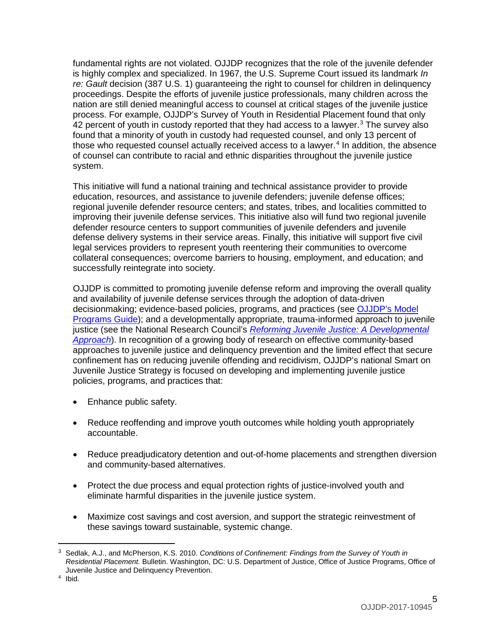fundamental rights are not violated. OJJDP recognizes that the role of the juvenile defender is highly complex and specialized. In 1967, the U.S. Supreme Court issued its landmark *In re: Gault* decision (387 U.S. 1) guaranteeing the right to counsel for children in delinquency proceedings. Despite the efforts of juvenile justice professionals, many children across the nation are still denied meaningful access to counsel at critical stages of the juvenile justice process. For example, OJJDP's Survey of Youth in Residential Placement found that only  $42$  percent of youth in custody reported that they had access to a lawyer.<sup>[3](#page-4-0)</sup> The survey also found that a minority of youth in custody had requested counsel, and only 13 percent of those who requested counsel actually received access to a lawyer.<sup>[4](#page-4-1)</sup> In addition, the absence of counsel can contribute to racial and ethnic disparities throughout the juvenile justice system.

This initiative will fund a national training and technical assistance provider to provide education, resources, and assistance to juvenile defenders; juvenile defense offices; regional juvenile defender resource centers; and states, tribes, and localities committed to improving their juvenile defense services. This initiative also will fund two regional juvenile defender resource centers to support communities of juvenile defenders and juvenile defense delivery systems in their service areas. Finally, this initiative will support five civil legal services providers to represent youth reentering their communities to overcome collateral consequences; overcome barriers to housing, employment, and education; and successfully reintegrate into society.

OJJDP is committed to promoting juvenile defense reform and improving the overall quality and availability of juvenile defense services through the adoption of data-driven decisionmaking; evidence-based policies, programs, and practices (see [OJJDP's Model](https://www.ojjdp.gov/mpg)  [Programs](https://www.ojjdp.gov/mpg) Guide); and a developmentally appropriate, trauma-informed approach to juvenile justice (see the National Research Council's *[Reforming Juvenile Justice: A Developmental](https://www.nap.edu/catalog/14685/reforming-juvenile-justice-a-developmental-approach)  [Approach](https://www.nap.edu/catalog/14685/reforming-juvenile-justice-a-developmental-approach)*). In recognition of a growing body of research on effective community-based approaches to juvenile justice and delinquency prevention and the limited effect that secure confinement has on reducing juvenile offending and recidivism, OJJDP's national Smart on Juvenile Justice Strategy is focused on developing and implementing juvenile justice policies, programs, and practices that:

- Enhance public safety.
- Reduce reoffending and improve youth outcomes while holding youth appropriately accountable.
- Reduce preadjudicatory detention and out-of-home placements and strengthen diversion and community-based alternatives.
- Protect the due process and equal protection rights of justice-involved youth and eliminate harmful disparities in the juvenile justice system.
- Maximize cost savings and cost aversion, and support the strategic reinvestment of these savings toward sustainable, systemic change.

 $\overline{a}$ 

<span id="page-4-0"></span><sup>3</sup> Sedlak, A.J., and McPherson, K.S. 2010. *Conditions of Confinement: Findings from the Survey of Youth in Residential Placement.* Bulletin. Washington, DC: U.S. Department of Justice, Office of Justice Programs, Office of Juvenile Justice and Delinquency Prevention. 4 Ibid.

<span id="page-4-1"></span>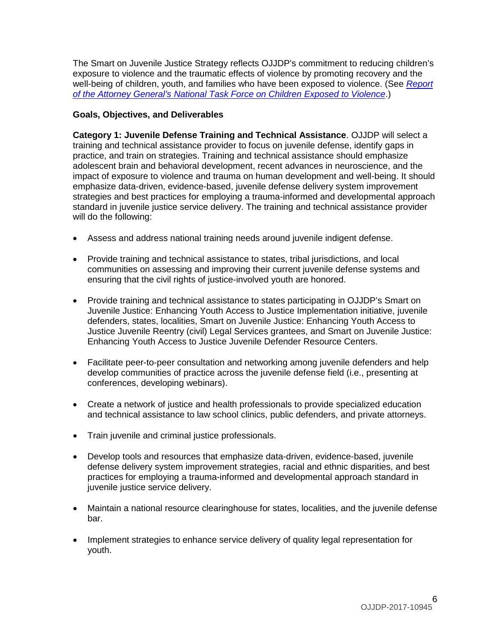The Smart on Juvenile Justice Strategy reflects OJJDP's commitment to reducing children's exposure to violence and the traumatic effects of violence by promoting recovery and the well-being of children, youth, and families who have been exposed to violence. (See *[Report](https://www.justice.gov/defendingchildhood/cev-rpt-full.pdf)  [of the Attorney General's National Task Force on Children Exposed to Violence](https://www.justice.gov/defendingchildhood/cev-rpt-full.pdf)*.)

### <span id="page-5-0"></span>**Goals, Objectives, and Deliverables**

**Category 1: Juvenile Defense Training and Technical Assistance**. OJJDP will select a training and technical assistance provider to focus on juvenile defense, identify gaps in practice, and train on strategies. Training and technical assistance should emphasize adolescent brain and behavioral development, recent advances in neuroscience, and the impact of exposure to violence and trauma on human development and well-being. It should emphasize data-driven, evidence-based, juvenile defense delivery system improvement strategies and best practices for employing a trauma-informed and developmental approach standard in juvenile justice service delivery. The training and technical assistance provider will do the following:

- Assess and address national training needs around juvenile indigent defense.
- Provide training and technical assistance to states, tribal jurisdictions, and local communities on assessing and improving their current juvenile defense systems and ensuring that the civil rights of justice-involved youth are honored.
- Provide training and technical assistance to states participating in OJJDP's Smart on Juvenile Justice: Enhancing Youth Access to Justice Implementation initiative, juvenile defenders, states, localities, Smart on Juvenile Justice: Enhancing Youth Access to Justice Juvenile Reentry (civil) Legal Services grantees, and Smart on Juvenile Justice: Enhancing Youth Access to Justice Juvenile Defender Resource Centers.
- Facilitate peer-to-peer consultation and networking among juvenile defenders and help develop communities of practice across the juvenile defense field (i.e., presenting at conferences, developing webinars).
- Create a network of justice and health professionals to provide specialized education and technical assistance to law school clinics, public defenders, and private attorneys.
- Train juvenile and criminal justice professionals.
- Develop tools and resources that emphasize data-driven, evidence-based, juvenile defense delivery system improvement strategies, racial and ethnic disparities, and best practices for employing a trauma-informed and developmental approach standard in juvenile justice service delivery.
- Maintain a national resource clearinghouse for states, localities, and the juvenile defense bar.
- Implement strategies to enhance service delivery of quality legal representation for youth.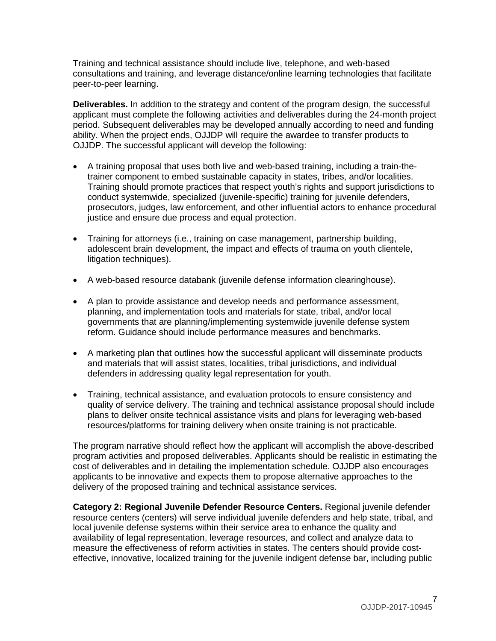Training and technical assistance should include live, telephone, and web-based consultations and training, and leverage distance/online learning technologies that facilitate peer-to-peer learning.

**Deliverables.** In addition to the strategy and content of the program design, the successful applicant must complete the following activities and deliverables during the 24-month project period. Subsequent deliverables may be developed annually according to need and funding ability. When the project ends, OJJDP will require the awardee to transfer products to OJJDP. The successful applicant will develop the following:

- A training proposal that uses both live and web-based training, including a train-thetrainer component to embed sustainable capacity in states, tribes, and/or localities. Training should promote practices that respect youth's rights and support jurisdictions to conduct systemwide, specialized (juvenile-specific) training for juvenile defenders, prosecutors, judges, law enforcement, and other influential actors to enhance procedural justice and ensure due process and equal protection.
- Training for attorneys (i.e., training on case management, partnership building, adolescent brain development, the impact and effects of trauma on youth clientele, litigation techniques).
- A web-based resource databank (juvenile defense information clearinghouse).
- A plan to provide assistance and develop needs and performance assessment, planning, and implementation tools and materials for state, tribal, and/or local governments that are planning/implementing systemwide juvenile defense system reform. Guidance should include performance measures and benchmarks.
- A marketing plan that outlines how the successful applicant will disseminate products and materials that will assist states, localities, tribal jurisdictions, and individual defenders in addressing quality legal representation for youth.
- Training, technical assistance, and evaluation protocols to ensure consistency and quality of service delivery. The training and technical assistance proposal should include plans to deliver onsite technical assistance visits and plans for leveraging web-based resources/platforms for training delivery when onsite training is not practicable.

The program narrative should reflect how the applicant will accomplish the above-described program activities and proposed deliverables. Applicants should be realistic in estimating the cost of deliverables and in detailing the implementation schedule. OJJDP also encourages applicants to be innovative and expects them to propose alternative approaches to the delivery of the proposed training and technical assistance services.

**Category 2: Regional Juvenile Defender Resource Centers.** Regional juvenile defender resource centers (centers) will serve individual juvenile defenders and help state, tribal, and local juvenile defense systems within their service area to enhance the quality and availability of legal representation, leverage resources, and collect and analyze data to measure the effectiveness of reform activities in states. The centers should provide costeffective, innovative, localized training for the juvenile indigent defense bar, including public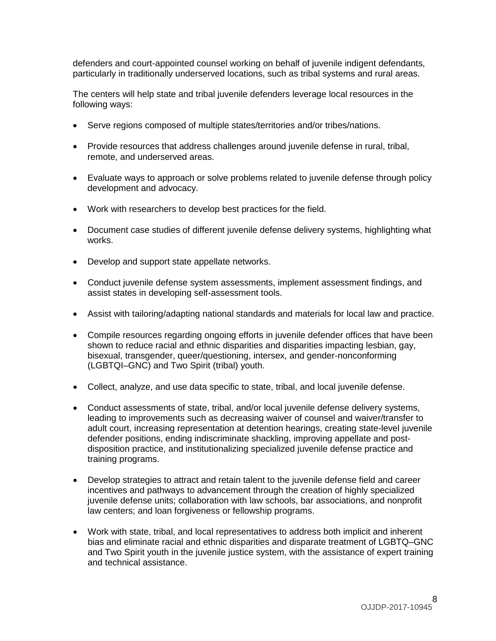defenders and court-appointed counsel working on behalf of juvenile indigent defendants, particularly in traditionally underserved locations, such as tribal systems and rural areas.

The centers will help state and tribal juvenile defenders leverage local resources in the following ways:

- Serve regions composed of multiple states/territories and/or tribes/nations.
- Provide resources that address challenges around juvenile defense in rural, tribal, remote, and underserved areas.
- Evaluate ways to approach or solve problems related to juvenile defense through policy development and advocacy.
- Work with researchers to develop best practices for the field.
- Document case studies of different juvenile defense delivery systems, highlighting what works.
- Develop and support state appellate networks.
- Conduct juvenile defense system assessments, implement assessment findings, and assist states in developing self-assessment tools.
- Assist with tailoring/adapting national standards and materials for local law and practice.
- Compile resources regarding ongoing efforts in juvenile defender offices that have been shown to reduce racial and ethnic disparities and disparities impacting lesbian, gay, bisexual, transgender, queer/questioning, intersex, and gender-nonconforming (LGBTQI–GNC) and Two Spirit (tribal) youth.
- Collect, analyze, and use data specific to state, tribal, and local juvenile defense.
- Conduct assessments of state, tribal, and/or local juvenile defense delivery systems, leading to improvements such as decreasing waiver of counsel and waiver/transfer to adult court, increasing representation at detention hearings, creating state-level juvenile defender positions, ending indiscriminate shackling, improving appellate and postdisposition practice, and institutionalizing specialized juvenile defense practice and training programs.
- Develop strategies to attract and retain talent to the juvenile defense field and career incentives and pathways to advancement through the creation of highly specialized juvenile defense units; collaboration with law schools, bar associations, and nonprofit law centers; and loan forgiveness or fellowship programs.
- Work with state, tribal, and local representatives to address both implicit and inherent bias and eliminate racial and ethnic disparities and disparate treatment of LGBTQ–GNC and Two Spirit youth in the juvenile justice system, with the assistance of expert training and technical assistance.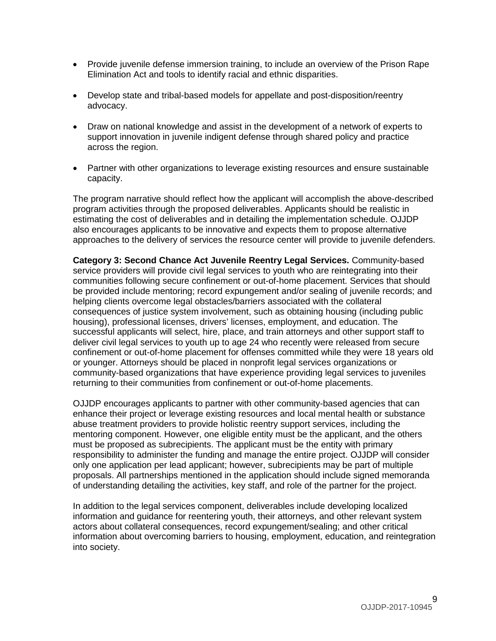- Provide juvenile defense immersion training, to include an overview of the Prison Rape Elimination Act and tools to identify racial and ethnic disparities.
- Develop state and tribal-based models for appellate and post-disposition/reentry advocacy.
- Draw on national knowledge and assist in the development of a network of experts to support innovation in juvenile indigent defense through shared policy and practice across the region.
- Partner with other organizations to leverage existing resources and ensure sustainable capacity.

The program narrative should reflect how the applicant will accomplish the above-described program activities through the proposed deliverables. Applicants should be realistic in estimating the cost of deliverables and in detailing the implementation schedule. OJJDP also encourages applicants to be innovative and expects them to propose alternative approaches to the delivery of services the resource center will provide to juvenile defenders.

**Category 3: Second Chance Act Juvenile Reentry Legal Services.** Community-based service providers will provide civil legal services to youth who are reintegrating into their communities following secure confinement or out-of-home placement. Services that should be provided include mentoring; record expungement and/or sealing of juvenile records; and helping clients overcome legal obstacles/barriers associated with the collateral consequences of justice system involvement, such as obtaining housing (including public housing), professional licenses, drivers' licenses, employment, and education. The successful applicants will select, hire, place, and train attorneys and other support staff to deliver civil legal services to youth up to age 24 who recently were released from secure confinement or out-of-home placement for offenses committed while they were 18 years old or younger. Attorneys should be placed in nonprofit legal services organizations or community-based organizations that have experience providing legal services to juveniles returning to their communities from confinement or out-of-home placements.

OJJDP encourages applicants to partner with other community-based agencies that can enhance their project or leverage existing resources and local mental health or substance abuse treatment providers to provide holistic reentry support services, including the mentoring component. However, one eligible entity must be the applicant, and the others must be proposed as subrecipients. The applicant must be the entity with primary responsibility to administer the funding and manage the entire project. OJJDP will consider only one application per lead applicant; however, subrecipients may be part of multiple proposals. All partnerships mentioned in the application should include signed memoranda of understanding detailing the activities, key staff, and role of the partner for the project.

In addition to the legal services component, deliverables include developing localized information and guidance for reentering youth, their attorneys, and other relevant system actors about collateral consequences, record expungement/sealing; and other critical information about overcoming barriers to housing, employment, education, and reintegration into society.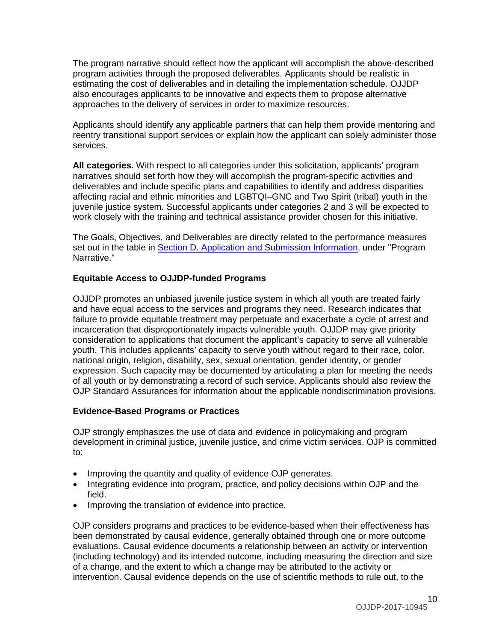The program narrative should reflect how the applicant will accomplish the above-described program activities through the proposed deliverables. Applicants should be realistic in estimating the cost of deliverables and in detailing the implementation schedule. OJJDP also encourages applicants to be innovative and expects them to propose alternative approaches to the delivery of services in order to maximize resources.

Applicants should identify any applicable partners that can help them provide mentoring and reentry transitional support services or explain how the applicant can solely administer those services.

**All categories.** With respect to all categories under this solicitation, applicants' program narratives should set forth how they will accomplish the program-specific activities and deliverables and include specific plans and capabilities to identify and address disparities affecting racial and ethnic minorities and LGBTQI–GNC and Two Spirit (tribal) youth in the juvenile justice system. Successful applicants under categories 2 and 3 will be expected to work closely with the training and technical assistance provider chosen for this initiative.

The Goals, Objectives, and Deliverables are directly related to the performance measures set out in the table in [Section D. Application and Submission Information,](#page-14-0) under "Program Narrative."

# **Equitable Access to OJJDP-funded Programs**

OJJDP promotes an unbiased juvenile justice system in which all youth are treated fairly and have equal access to the services and programs they need. Research indicates that failure to provide equitable treatment may perpetuate and exacerbate a cycle of arrest and incarceration that disproportionately impacts vulnerable youth. OJJDP may give priority consideration to applications that document the applicant's capacity to serve all vulnerable youth. This includes applicants' capacity to serve youth without regard to their race, color, national origin, religion, disability, sex, sexual orientation, gender identity, or gender expression. Such capacity may be documented by articulating a plan for meeting the needs of all youth or by demonstrating a record of such service. Applicants should also review the OJP Standard Assurances for information about the applicable nondiscrimination provisions.

# <span id="page-9-0"></span>**Evidence-Based Programs or Practices**

OJP strongly emphasizes the use of data and evidence in policymaking and program development in criminal justice, juvenile justice, and crime victim services. OJP is committed to:

- Improving the quantity and quality of evidence OJP generates.
- Integrating evidence into program, practice, and policy decisions within OJP and the field.
- Improving the translation of evidence into practice.

OJP considers programs and practices to be evidence-based when their effectiveness has been demonstrated by causal evidence, generally obtained through one or more outcome evaluations. Causal evidence documents a relationship between an activity or intervention (including technology) and its intended outcome, including measuring the direction and size of a change, and the extent to which a change may be attributed to the activity or intervention. Causal evidence depends on the use of scientific methods to rule out, to the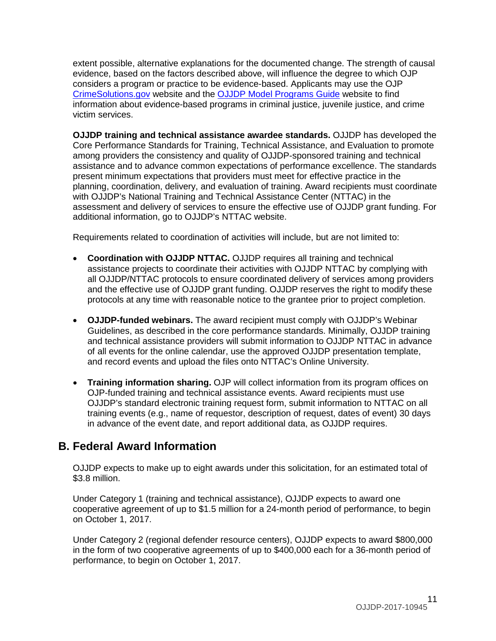extent possible, alternative explanations for the documented change. The strength of causal evidence, based on the factors described above, will influence the degree to which OJP considers a program or practice to be evidence-based. Applicants may use the OJP [CrimeSolutions.gov](http://www.crimesolutions.gov/) website and the [OJJDP Model Programs Guide](http://www.ojjdp.gov/mpg) website to find information about evidence-based programs in criminal justice, juvenile justice, and crime victim services.

**OJJDP training and technical assistance awardee standards.** OJJDP has developed the Core Performance Standards for Training, Technical Assistance, and Evaluation to promote among providers the consistency and quality of OJJDP-sponsored training and technical assistance and to advance common expectations of performance excellence. The standards present minimum expectations that providers must meet for effective practice in the planning, coordination, delivery, and evaluation of training. Award recipients must coordinate with OJJDP's National Training and Technical Assistance Center (NTTAC) in the assessment and delivery of services to ensure the effective use of OJJDP grant funding. For additional information, go to OJJDP's NTTAC website.

Requirements related to coordination of activities will include, but are not limited to:

- **Coordination with OJJDP NTTAC.** OJJDP requires all training and technical assistance projects to coordinate their activities with OJJDP NTTAC by complying with all OJJDP/NTTAC protocols to ensure coordinated delivery of services among providers and the effective use of OJJDP grant funding. OJJDP reserves the right to modify these protocols at any time with reasonable notice to the grantee prior to project completion.
- **OJJDP-funded webinars.** The award recipient must comply with OJJDP's Webinar Guidelines, as described in the core performance standards. Minimally, OJJDP training and technical assistance providers will submit information to OJJDP NTTAC in advance of all events for the online calendar, use the approved OJJDP presentation template, and record events and upload the files onto NTTAC's Online University.
- **Training information sharing.** OJP will collect information from its program offices on OJP-funded training and technical assistance events. Award recipients must use OJJDP's standard electronic training request form, submit information to NTTAC on all training events (e.g., name of requestor, description of request, dates of event) 30 days in advance of the event date, and report additional data, as OJJDP requires.

# <span id="page-10-0"></span>**B. Federal Award Information**

OJJDP expects to make up to eight awards under this solicitation, for an estimated total of \$3.8 million.

Under Category 1 (training and technical assistance), OJJDP expects to award one cooperative agreement of up to \$1.5 million for a 24-month period of performance, to begin on October 1, 2017.

Under Category 2 (regional defender resource centers), OJJDP expects to award \$800,000 in the form of two cooperative agreements of up to \$400,000 each for a 36-month period of performance, to begin on October 1, 2017.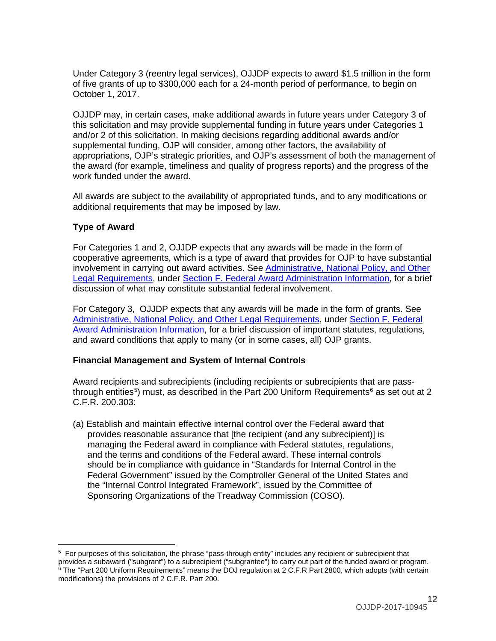Under Category 3 (reentry legal services), OJJDP expects to award \$1.5 million in the form of five grants of up to \$300,000 each for a 24-month period of performance, to begin on October 1, 2017.

OJJDP may, in certain cases, make additional awards in future years under Category 3 of this solicitation and may provide supplemental funding in future years under Categories 1 and/or 2 of this solicitation. In making decisions regarding additional awards and/or supplemental funding, OJP will consider, among other factors, the availability of appropriations, OJP's strategic priorities, and OJP's assessment of both the management of the award (for example, timeliness and quality of progress reports) and the progress of the work funded under the award.

All awards are subject to the availability of appropriated funds, and to any modifications or additional requirements that may be imposed by law.

# <span id="page-11-0"></span>**Type of Award**

For Categories 1 and 2, OJJDP expects that any awards will be made in the form of cooperative agreements, which is a type of award that provides for OJP to have substantial involvement in carrying out award activities. See [Administrative, National Policy, and Other](#page-36-0)  Legal [Requirements,](#page-36-0) under [Section F. Federal Award Administration Information,](#page-36-0) for a brief discussion of what may constitute substantial federal involvement.

For Category 3, OJJDP expects that any awards will be made in the form of grants. See [Administrative, National Policy, and Other Legal Requirements,](#page-36-0) under [Section F. Federal](#page-36-0)  [Award Administration Information,](#page-36-0) for a brief discussion of important statutes, regulations, and award conditions that apply to many (or in some cases, all) OJP grants.

#### <span id="page-11-1"></span>**Financial Management and System of Internal Controls**

Award recipients and subrecipients (including recipients or subrecipients that are pass-through entities<sup>[5](#page-11-2)</sup>) must, as described in the Part 200 Uniform Requirements<sup>[6](#page-11-3)</sup> as set out at 2 C.F.R. 200.303:

(a) Establish and maintain effective internal control over the Federal award that provides reasonable assurance that [the recipient (and any subrecipient)] is managing the Federal award in compliance with Federal statutes, regulations, and the terms and conditions of the Federal award. These internal controls should be in compliance with guidance in "Standards for Internal Control in the Federal Government" issued by the Comptroller General of the United States and the "Internal Control Integrated Framework", issued by the Committee of Sponsoring Organizations of the Treadway Commission (COSO).

<span id="page-11-3"></span><span id="page-11-2"></span> $\overline{a}$ 5 For purposes of this solicitation, the phrase "pass-through entity" includes any recipient or subrecipient that provides a subaward ("subgrant") to a subrecipient ("subgrantee") to carry out part of the funded award or program. <sup>6</sup> The "Part 200 Uniform Requirements" means the DOJ regulation at 2 C.F.R Part 2800, which adopts (with certain modifications) the provisions of 2 C.F.R. Part 200.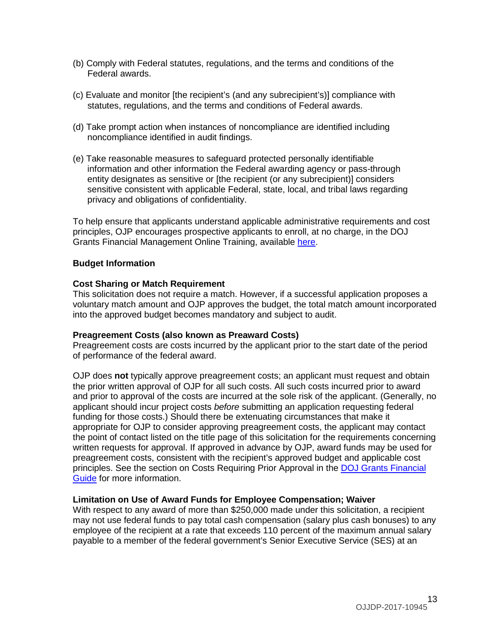- (b) Comply with Federal statutes, regulations, and the terms and conditions of the Federal awards.
- (c) Evaluate and monitor [the recipient's (and any subrecipient's)] compliance with statutes, regulations, and the terms and conditions of Federal awards.
- (d) Take prompt action when instances of noncompliance are identified including noncompliance identified in audit findings.
- (e) Take reasonable measures to safeguard protected personally identifiable information and other information the Federal awarding agency or pass-through entity designates as sensitive or [the recipient (or any subrecipient)] considers sensitive consistent with applicable Federal, state, local, and tribal laws regarding privacy and obligations of confidentiality.

To help ensure that applicants understand applicable administrative requirements and cost principles, OJP encourages prospective applicants to enroll, at no charge, in the DOJ Grants Financial Management Online Training, available [here.](http://gfm.webfirst.com/)

#### <span id="page-12-0"></span>**Budget Information**

#### <span id="page-12-1"></span>**Cost Sharing or Match Requirement**

This solicitation does not require a match. However, if a successful application proposes a voluntary match amount and OJP approves the budget, the total match amount incorporated into the approved budget becomes mandatory and subject to audit.

#### <span id="page-12-2"></span>**Preagreement Costs (also known as Preaward Costs)**

Preagreement costs are costs incurred by the applicant prior to the start date of the period of performance of the federal award.

OJP does **not** typically approve preagreement costs; an applicant must request and obtain the prior written approval of OJP for all such costs. All such costs incurred prior to award and prior to approval of the costs are incurred at the sole risk of the applicant. (Generally, no applicant should incur project costs *before* submitting an application requesting federal funding for those costs.) Should there be extenuating circumstances that make it appropriate for OJP to consider approving preagreement costs, the applicant may contact the point of contact listed on the title page of this solicitation for the requirements concerning written requests for approval. If approved in advance by OJP, award funds may be used for preagreement costs, consistent with the recipient's approved budget and applicable cost principles. See the section on Costs Requiring Prior Approval in the [DOJ Grants Financial](http://ojp.gov/financialguide/DOJ/index.htm)  [Guide](http://ojp.gov/financialguide/DOJ/index.htm) for more information.

#### <span id="page-12-3"></span>**Limitation on Use of Award Funds for Employee Compensation; Waiver**

With respect to any award of more than \$250,000 made under this solicitation, a recipient may not use federal funds to pay total cash compensation (salary plus cash bonuses) to any employee of the recipient at a rate that exceeds 110 percent of the maximum annual salary payable to a member of the federal government's Senior Executive Service (SES) at an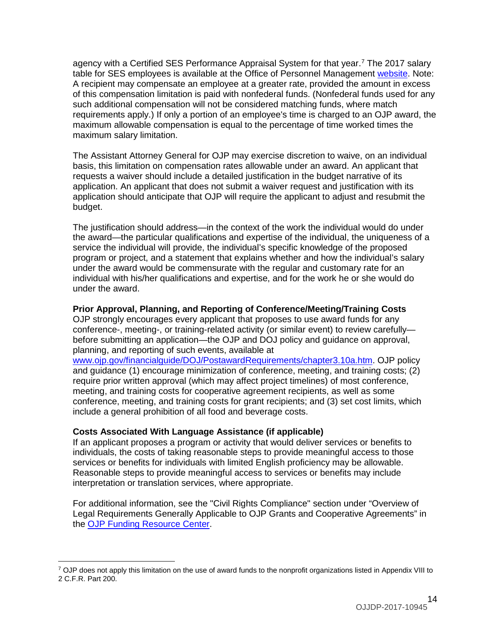agency with a Certified SES Performance Appraisal System for that year.[7](#page-13-2) The 2017 salary table for SES employees is available at the Office of Personnel Management [website.](https://www.opm.gov/policy-data-oversight/pay-leave/salaries-wages/salary-tables/17Tables/exec/html/ES.aspx) Note: A recipient may compensate an employee at a greater rate, provided the amount in excess of this compensation limitation is paid with nonfederal funds. (Nonfederal funds used for any such additional compensation will not be considered matching funds, where match requirements apply.) If only a portion of an employee's time is charged to an OJP award, the maximum allowable compensation is equal to the percentage of time worked times the maximum salary limitation.

The Assistant Attorney General for OJP may exercise discretion to waive, on an individual basis, this limitation on compensation rates allowable under an award. An applicant that requests a waiver should include a detailed justification in the budget narrative of its application. An applicant that does not submit a waiver request and justification with its application should anticipate that OJP will require the applicant to adjust and resubmit the budget.

The justification should address—in the context of the work the individual would do under the award—the particular qualifications and expertise of the individual, the uniqueness of a service the individual will provide, the individual's specific knowledge of the proposed program or project, and a statement that explains whether and how the individual's salary under the award would be commensurate with the regular and customary rate for an individual with his/her qualifications and expertise, and for the work he or she would do under the award.

#### <span id="page-13-0"></span>**Prior Approval, Planning, and Reporting of Conference/Meeting/Training Costs**

OJP strongly encourages every applicant that proposes to use award funds for any conference-, meeting-, or training-related activity (or similar event) to review carefully before submitting an application—the OJP and DOJ policy and guidance on approval, planning, and reporting of such events, available at

[www.ojp.gov/financialguide/DOJ/PostawardRequirements/chapter3.10a.htm.](http://www.ojp.gov/financialguide/DOJ/PostawardRequirements/chapter3.10a.htm) OJP policy and guidance (1) encourage minimization of conference, meeting, and training costs; (2) require prior written approval (which may affect project timelines) of most conference, meeting, and training costs for cooperative agreement recipients, as well as some conference, meeting, and training costs for grant recipients; and (3) set cost limits, which include a general prohibition of all food and beverage costs.

# <span id="page-13-1"></span>**Costs Associated With Language Assistance (if applicable)**

 $\overline{a}$ 

If an applicant proposes a program or activity that would deliver services or benefits to individuals, the costs of taking reasonable steps to provide meaningful access to those services or benefits for individuals with limited English proficiency may be allowable. Reasonable steps to provide meaningful access to services or benefits may include interpretation or translation services, where appropriate.

For additional information, see the "Civil Rights Compliance" section under "Overview of Legal Requirements Generally Applicable to OJP Grants and Cooperative Agreements" in the [OJP Funding Resource Center.](http://ojp.gov/funding/index.htm)

<span id="page-13-2"></span><sup>&</sup>lt;sup>7</sup> OJP does not apply this limitation on the use of award funds to the nonprofit organizations listed in Appendix VIII to 2 C.F.R. Part 200.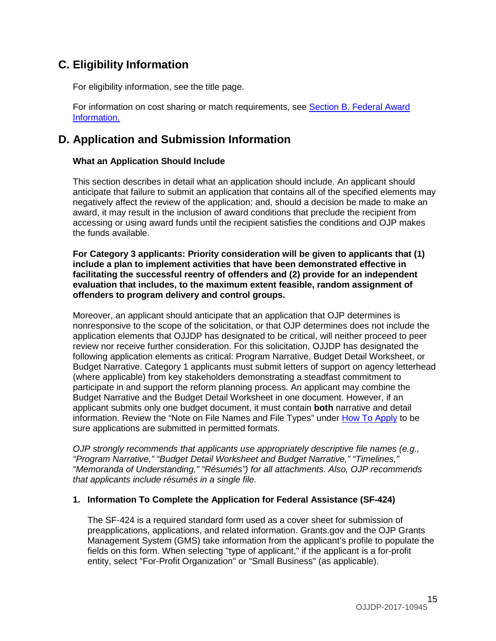# <span id="page-14-1"></span>**C. Eligibility Information**

For eligibility information, see the title page.

For information on cost sharing or match requirements, see Section [B. Federal Award](#page-10-0)  [Information.](#page-10-0)

# <span id="page-14-0"></span>**D. Application and Submission Information**

# <span id="page-14-2"></span>**What an Application Should Include**

This section describes in detail what an application should include. An applicant should anticipate that failure to submit an application that contains all of the specified elements may negatively affect the review of the application; and, should a decision be made to make an award, it may result in the inclusion of award conditions that preclude the recipient from accessing or using award funds until the recipient satisfies the conditions and OJP makes the funds available.

**For Category 3 applicants: Priority consideration will be given to applicants that (1) include a plan to implement activities that have been demonstrated effective in facilitating the successful reentry of offenders and (2) provide for an independent evaluation that includes, to the maximum extent feasible, random assignment of offenders to program delivery and control groups.**

Moreover, an applicant should anticipate that an application that OJP determines is nonresponsive to the scope of the solicitation, or that OJP determines does not include the application elements that OJJDP has designated to be critical, will neither proceed to peer review nor receive further consideration. For this solicitation, OJJDP has designated the following application elements as critical: Program Narrative, Budget Detail Worksheet, or Budget Narrative. Category 1 applicants must submit letters of support on agency letterhead (where applicable) from key stakeholders demonstrating a steadfast commitment to participate in and support the reform planning process. An applicant may combine the Budget Narrative and the Budget Detail Worksheet in one document. However, if an applicant submits only one budget document, it must contain **both** narrative and detail information. Review the "Note on File Names and File Types" under [How To Apply](#page-30-0) to be sure applications are submitted in permitted formats.

*OJP strongly recommends that applicants use appropriately descriptive file names (e.g., "Program Narrative," "Budget Detail Worksheet and Budget Narrative," "Timelines," "Memoranda of Understanding," "Résumés") for all attachments. Also, OJP recommends that applicants include résumés in a single file.*

# **1. Information To Complete the Application for Federal Assistance (SF-424)**

The SF-424 is a required standard form used as a cover sheet for submission of preapplications, applications, and related information. Grants.gov and the OJP Grants Management System (GMS) take information from the applicant's profile to populate the fields on this form. When selecting "type of applicant," if the applicant is a for-profit entity, select "For-Profit Organization" or "Small Business" (as applicable).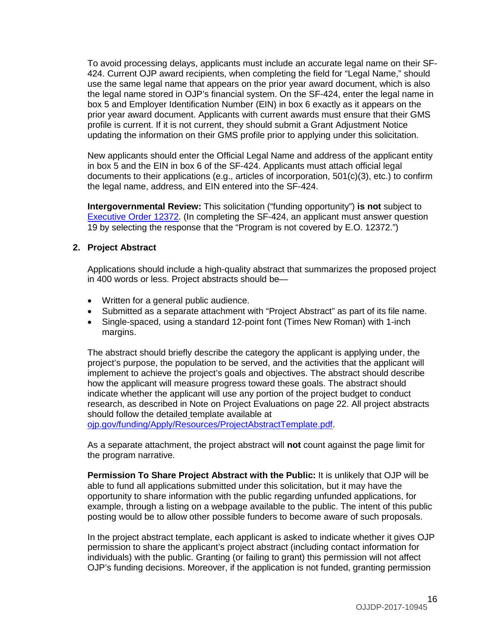To avoid processing delays, applicants must include an accurate legal name on their SF-424. Current OJP award recipients, when completing the field for "Legal Name," should use the same legal name that appears on the prior year award document, which is also the legal name stored in OJP's financial system. On the SF-424, enter the legal name in box 5 and Employer Identification Number (EIN) in box 6 exactly as it appears on the prior year award document. Applicants with current awards must ensure that their GMS profile is current. If it is not current, they should submit a Grant Adjustment Notice updating the information on their GMS profile prior to applying under this solicitation.

New applicants should enter the Official Legal Name and address of the applicant entity in box 5 and the EIN in box 6 of the SF-424. Applicants must attach official legal documents to their applications (e.g., articles of incorporation, 501(c)(3), etc.) to confirm the legal name, address, and EIN entered into the SF-424.

**Intergovernmental Review:** This solicitation ("funding opportunity") **is not** subject to [Executive Order 12372.](http://www.archives.gov/federal-register/codification/executive-order/12372.html) (In completing the SF-424, an applicant must answer question 19 by selecting the response that the "Program is not covered by E.O. 12372.")

### **2. Project Abstract**

Applications should include a high-quality abstract that summarizes the proposed project in 400 words or less. Project abstracts should be—

- Written for a general public audience.
- Submitted as a separate attachment with "Project Abstract" as part of its file name.
- Single-spaced, using a standard 12-point font (Times New Roman) with 1-inch margins.

The abstract should briefly describe the category the applicant is applying under, the project's purpose, the population to be served, and the activities that the applicant will implement to achieve the project's goals and objectives. The abstract should describe how the applicant will measure progress toward these goals. The abstract should indicate whether the applicant will use any portion of the project budget to conduct research, as described in Note on Project Evaluations on page 22. All project abstracts should follow the detailed template available at

[ojp.gov/funding/Apply/Resources/ProjectAbstractTemplate.pdf.](http://ojp.gov/funding/Apply/Resources/ProjectAbstractTemplate.pdf)

As a separate attachment, the project abstract will **not** count against the page limit for the program narrative.

**Permission To Share Project Abstract with the Public:** It is unlikely that OJP will be able to fund all applications submitted under this solicitation, but it may have the opportunity to share information with the public regarding unfunded applications, for example, through a listing on a webpage available to the public. The intent of this public posting would be to allow other possible funders to become aware of such proposals.

In the project abstract template, each applicant is asked to indicate whether it gives OJP permission to share the applicant's project abstract (including contact information for individuals) with the public. Granting (or failing to grant) this permission will not affect OJP's funding decisions. Moreover, if the application is not funded, granting permission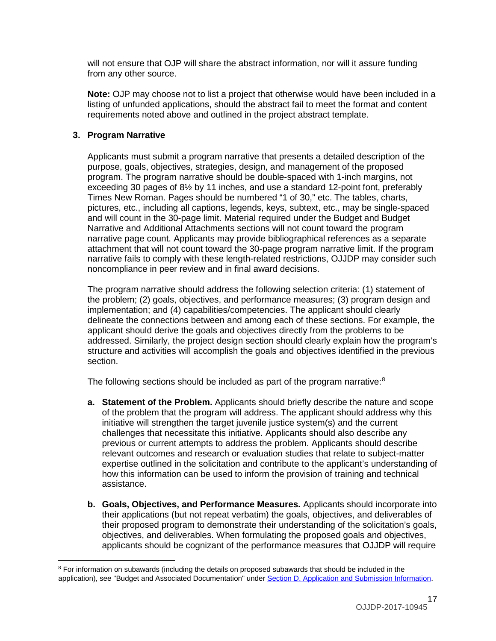will not ensure that OJP will share the abstract information, nor will it assure funding from any other source.

**Note:** OJP may choose not to list a project that otherwise would have been included in a listing of unfunded applications, should the abstract fail to meet the format and content requirements noted above and outlined in the project abstract template.

#### **3. Program Narrative**

Applicants must submit a program narrative that presents a detailed description of the purpose, goals, objectives, strategies, design, and management of the proposed program. The program narrative should be double-spaced with 1-inch margins, not exceeding 30 pages of 8½ by 11 inches, and use a standard 12-point font, preferably Times New Roman. Pages should be numbered "1 of 30," etc. The tables, charts, pictures, etc., including all captions, legends, keys, subtext, etc., may be single-spaced and will count in the 30-page limit. Material required under the Budget and Budget Narrative and Additional Attachments sections will not count toward the program narrative page count. Applicants may provide bibliographical references as a separate attachment that will not count toward the 30-page program narrative limit. If the program narrative fails to comply with these length-related restrictions, OJJDP may consider such noncompliance in peer review and in final award decisions.

The program narrative should address the following selection criteria: (1) statement of the problem; (2) goals, objectives, and performance measures; (3) program design and implementation; and (4) capabilities/competencies. The applicant should clearly delineate the connections between and among each of these sections. For example, the applicant should derive the goals and objectives directly from the problems to be addressed. Similarly, the project design section should clearly explain how the program's structure and activities will accomplish the goals and objectives identified in the previous section.

The following sections should be included as part of the program narrative:<sup>[8](#page-16-0)</sup>

- **a. Statement of the Problem.** Applicants should briefly describe the nature and scope of the problem that the program will address. The applicant should address why this initiative will strengthen the target juvenile justice system(s) and the current challenges that necessitate this initiative. Applicants should also describe any previous or current attempts to address the problem. Applicants should describe relevant outcomes and research or evaluation studies that relate to subject-matter expertise outlined in the solicitation and contribute to the applicant's understanding of how this information can be used to inform the provision of training and technical assistance.
- **b. Goals, Objectives, and Performance Measures.** Applicants should incorporate into their applications (but not repeat verbatim) the goals, objectives, and deliverables of their proposed program to demonstrate their understanding of the solicitation's goals, objectives, and deliverables. When formulating the proposed goals and objectives, applicants should be cognizant of the performance measures that OJJDP will require

<span id="page-16-0"></span> $\overline{a}$ <sup>8</sup> For information on subawards (including the details on proposed subawards that should be included in the application), see "Budget and Associated Documentation" under [Section D. Application and Submission Information.](#page-14-0)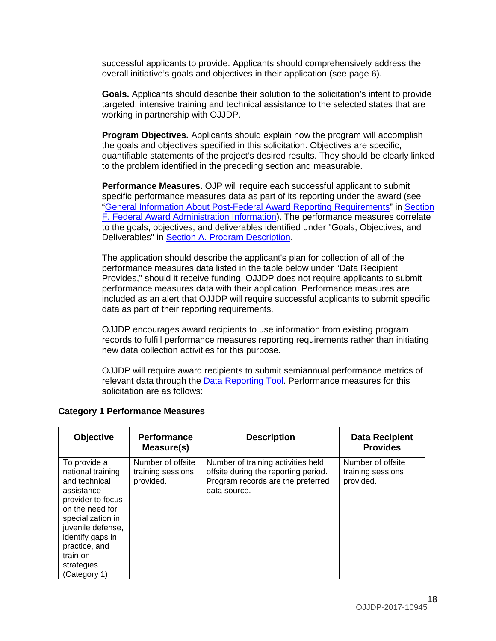successful applicants to provide. Applicants should comprehensively address the overall initiative's goals and objectives in their application (see page 6).

**Goals.** Applicants should describe their solution to the solicitation's intent to provide targeted, intensive training and technical assistance to the selected states that are working in partnership with OJJDP.

**Program Objectives.** Applicants should explain how the program will accomplish the goals and objectives specified in this solicitation. Objectives are specific, quantifiable statements of the project's desired results. They should be clearly linked to the problem identified in the preceding section and measurable.

**Performance Measures.** OJP will require each successful applicant to submit specific performance measures data as part of its reporting under the award (see ["General Information About Post-Federal Award Reporting Requirements"](#page-38-3) in [Section](#page-36-0)  [F. Federal Award Administration Information\)](#page-36-0). The performance measures correlate to the goals, objectives, and deliverables identified under "Goals, Objectives, and Deliverables" in [Section A. Program Description.](#page-3-0)

The application should describe the applicant's plan for collection of all of the performance measures data listed in the table below under "Data Recipient Provides," should it receive funding. OJJDP does not require applicants to submit performance measures data with their application. Performance measures are included as an alert that OJJDP will require successful applicants to submit specific data as part of their reporting requirements.

OJJDP encourages award recipients to use information from existing program records to fulfill performance measures reporting requirements rather than initiating new data collection activities for this purpose.

OJJDP will require award recipients to submit semiannual performance metrics of relevant data through the [Data Reporting Tool.](https://www.ojjdp-dctat.org/) Performance measures for this solicitation are as follows:

| <b>Objective</b>                                                                                                                                                                                                                   | <b>Performance</b><br>Measure(s)                    | <b>Description</b>                                                                                                              | <b>Data Recipient</b><br><b>Provides</b>            |
|------------------------------------------------------------------------------------------------------------------------------------------------------------------------------------------------------------------------------------|-----------------------------------------------------|---------------------------------------------------------------------------------------------------------------------------------|-----------------------------------------------------|
| To provide a<br>national training<br>and technical<br>assistance<br>provider to focus<br>on the need for<br>specialization in<br>juvenile defense,<br>identify gaps in<br>practice, and<br>train on<br>strategies.<br>(Category 1) | Number of offsite<br>training sessions<br>provided. | Number of training activities held<br>offsite during the reporting period.<br>Program records are the preferred<br>data source. | Number of offsite<br>training sessions<br>provided. |

#### **Category 1 Performance Measures**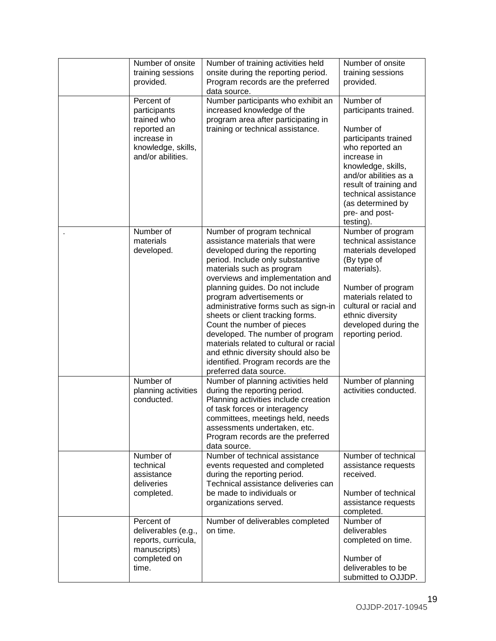| Number of onsite<br>training sessions<br>provided.                                                                 | Number of training activities held<br>onsite during the reporting period.<br>Program records are the preferred<br>data source.                                                                                                                                                                                                                                                                                                                                                                                                                                        | Number of onsite<br>training sessions<br>provided.                                                                                                                                                                                                             |
|--------------------------------------------------------------------------------------------------------------------|-----------------------------------------------------------------------------------------------------------------------------------------------------------------------------------------------------------------------------------------------------------------------------------------------------------------------------------------------------------------------------------------------------------------------------------------------------------------------------------------------------------------------------------------------------------------------|----------------------------------------------------------------------------------------------------------------------------------------------------------------------------------------------------------------------------------------------------------------|
| Percent of<br>participants<br>trained who<br>reported an<br>increase in<br>knowledge, skills,<br>and/or abilities. | Number participants who exhibit an<br>increased knowledge of the<br>program area after participating in<br>training or technical assistance.                                                                                                                                                                                                                                                                                                                                                                                                                          | Number of<br>participants trained.<br>Number of<br>participants trained<br>who reported an<br>increase in<br>knowledge, skills,<br>and/or abilities as a<br>result of training and<br>technical assistance<br>(as determined by<br>pre- and post-<br>testing). |
| Number of<br>materials<br>developed.                                                                               | Number of program technical<br>assistance materials that were<br>developed during the reporting<br>period. Include only substantive<br>materials such as program<br>overviews and implementation and<br>planning guides. Do not include<br>program advertisements or<br>administrative forms such as sign-in<br>sheets or client tracking forms.<br>Count the number of pieces<br>developed. The number of program<br>materials related to cultural or racial<br>and ethnic diversity should also be<br>identified. Program records are the<br>preferred data source. | Number of program<br>technical assistance<br>materials developed<br>(By type of<br>materials).<br>Number of program<br>materials related to<br>cultural or racial and<br>ethnic diversity<br>developed during the<br>reporting period.                         |
| Number of<br>planning activities<br>conducted.                                                                     | Number of planning activities held<br>during the reporting period.<br>Planning activities include creation<br>of task forces or interagency<br>committees, meetings held, needs<br>assessments undertaken, etc.<br>Program records are the preferred<br>data source.                                                                                                                                                                                                                                                                                                  | Number of planning<br>activities conducted.                                                                                                                                                                                                                    |
| Number of<br>technical<br>assistance<br>deliveries<br>completed.                                                   | Number of technical assistance<br>events requested and completed<br>during the reporting period.<br>Technical assistance deliveries can<br>be made to individuals or<br>organizations served.                                                                                                                                                                                                                                                                                                                                                                         | Number of technical<br>assistance requests<br>received.<br>Number of technical<br>assistance requests<br>completed.                                                                                                                                            |
| Percent of<br>deliverables (e.g.,<br>reports, curricula,<br>manuscripts)<br>completed on<br>time.                  | Number of deliverables completed<br>on time.                                                                                                                                                                                                                                                                                                                                                                                                                                                                                                                          | Number of<br>deliverables<br>completed on time.<br>Number of<br>deliverables to be<br>submitted to OJJDP.                                                                                                                                                      |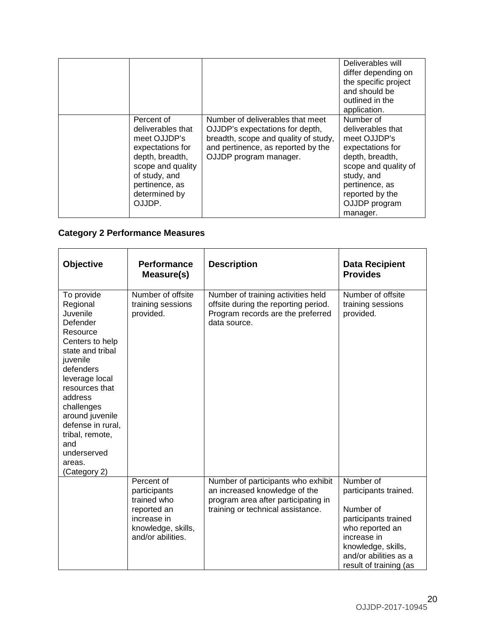|                                                                                                                                                                           |                                                                                                                                                                             | Deliverables will<br>differ depending on<br>the specific project<br>and should be<br>outlined in the<br>application.                                                                          |
|---------------------------------------------------------------------------------------------------------------------------------------------------------------------------|-----------------------------------------------------------------------------------------------------------------------------------------------------------------------------|-----------------------------------------------------------------------------------------------------------------------------------------------------------------------------------------------|
| Percent of<br>deliverables that<br>meet OJJDP's<br>expectations for<br>depth, breadth,<br>scope and quality<br>of study, and<br>pertinence, as<br>determined by<br>OJJDP. | Number of deliverables that meet<br>OJJDP's expectations for depth,<br>breadth, scope and quality of study,<br>and pertinence, as reported by the<br>OJJDP program manager. | Number of<br>deliverables that<br>meet OJJDP's<br>expectations for<br>depth, breadth,<br>scope and quality of<br>study, and<br>pertinence, as<br>reported by the<br>OJJDP program<br>manager. |

# **Category 2 Performance Measures**

| Objective                                                                                                                                                                                                                                                                                          | <b>Performance</b><br>Measure(s)                                                                                   | <b>Description</b>                                                                                                                              | <b>Data Recipient</b><br><b>Provides</b>                                                                                                                                           |
|----------------------------------------------------------------------------------------------------------------------------------------------------------------------------------------------------------------------------------------------------------------------------------------------------|--------------------------------------------------------------------------------------------------------------------|-------------------------------------------------------------------------------------------------------------------------------------------------|------------------------------------------------------------------------------------------------------------------------------------------------------------------------------------|
| To provide<br>Regional<br>Juvenile<br>Defender<br>Resource<br>Centers to help<br>state and tribal<br>juvenile<br>defenders<br>leverage local<br>resources that<br>address<br>challenges<br>around juvenile<br>defense in rural,<br>tribal, remote,<br>and<br>underserved<br>areas.<br>(Category 2) | Number of offsite<br>training sessions<br>provided.                                                                | Number of training activities held<br>offsite during the reporting period.<br>Program records are the preferred<br>data source.                 | Number of offsite<br>training sessions<br>provided.                                                                                                                                |
|                                                                                                                                                                                                                                                                                                    | Percent of<br>participants<br>trained who<br>reported an<br>increase in<br>knowledge, skills,<br>and/or abilities. | Number of participants who exhibit<br>an increased knowledge of the<br>program area after participating in<br>training or technical assistance. | Number of<br>participants trained.<br>Number of<br>participants trained<br>who reported an<br>increase in<br>knowledge, skills,<br>and/or abilities as a<br>result of training (as |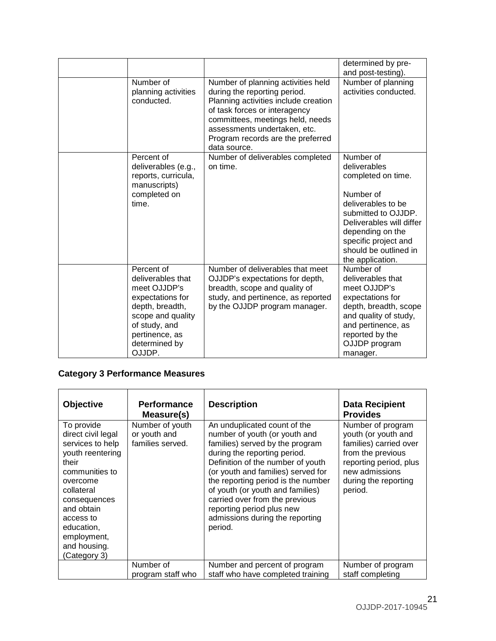|                                                                                                                                                                           |                                                                                                                                                                                                                                                                      | determined by pre-<br>and post-testing).                                                                                                                                                                                       |
|---------------------------------------------------------------------------------------------------------------------------------------------------------------------------|----------------------------------------------------------------------------------------------------------------------------------------------------------------------------------------------------------------------------------------------------------------------|--------------------------------------------------------------------------------------------------------------------------------------------------------------------------------------------------------------------------------|
| Number of<br>planning activities<br>conducted.                                                                                                                            | Number of planning activities held<br>during the reporting period.<br>Planning activities include creation<br>of task forces or interagency<br>committees, meetings held, needs<br>assessments undertaken, etc.<br>Program records are the preferred<br>data source. | Number of planning<br>activities conducted.                                                                                                                                                                                    |
| Percent of<br>deliverables (e.g.,<br>reports, curricula,<br>manuscripts)<br>completed on<br>time.                                                                         | Number of deliverables completed<br>on time.                                                                                                                                                                                                                         | Number of<br>deliverables<br>completed on time.<br>Number of<br>deliverables to be<br>submitted to OJJDP.<br>Deliverables will differ<br>depending on the<br>specific project and<br>should be outlined in<br>the application. |
| Percent of<br>deliverables that<br>meet OJJDP's<br>expectations for<br>depth, breadth,<br>scope and quality<br>of study, and<br>pertinence, as<br>determined by<br>OJJDP. | Number of deliverables that meet<br>OJJDP's expectations for depth,<br>breadth, scope and quality of<br>study, and pertinence, as reported<br>by the OJJDP program manager.                                                                                          | Number of<br>deliverables that<br>meet OJJDP's<br>expectations for<br>depth, breadth, scope<br>and quality of study,<br>and pertinence, as<br>reported by the<br>OJJDP program<br>manager.                                     |

# **Category 3 Performance Measures**

| Objective                                                                                                                                                                                                                             | <b>Performance</b><br>Measure(s)                    | <b>Description</b>                                                                                                                                                                                                                                                                                                                                                                                 | <b>Data Recipient</b><br><b>Provides</b>                                                                                                                               |
|---------------------------------------------------------------------------------------------------------------------------------------------------------------------------------------------------------------------------------------|-----------------------------------------------------|----------------------------------------------------------------------------------------------------------------------------------------------------------------------------------------------------------------------------------------------------------------------------------------------------------------------------------------------------------------------------------------------------|------------------------------------------------------------------------------------------------------------------------------------------------------------------------|
| To provide<br>direct civil legal<br>services to help<br>youth reentering<br>their<br>communities to<br>overcome<br>collateral<br>consequences<br>and obtain<br>access to<br>education,<br>employment,<br>and housing.<br>(Category 3) | Number of youth<br>or youth and<br>families served. | An unduplicated count of the<br>number of youth (or youth and<br>families) served by the program<br>during the reporting period.<br>Definition of the number of youth<br>(or youth and families) served for<br>the reporting period is the number<br>of youth (or youth and families)<br>carried over from the previous<br>reporting period plus new<br>admissions during the reporting<br>period. | Number of program<br>youth (or youth and<br>families) carried over<br>from the previous<br>reporting period, plus<br>new admissions<br>during the reporting<br>period. |
|                                                                                                                                                                                                                                       | Number of<br>program staff who                      | Number and percent of program<br>staff who have completed training                                                                                                                                                                                                                                                                                                                                 | Number of program<br>staff completing                                                                                                                                  |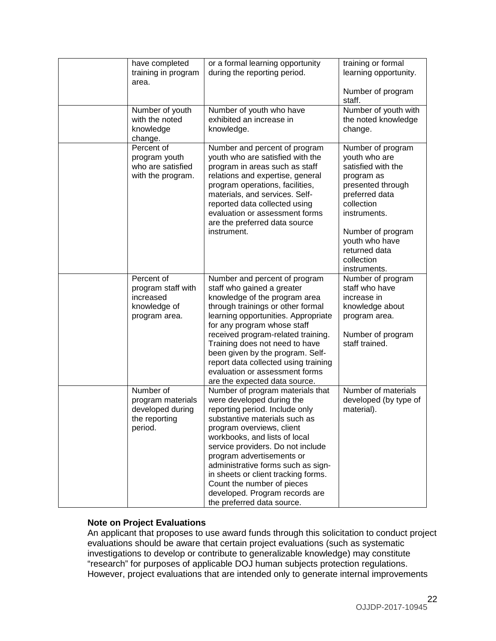| have completed<br>training in program                                          | or a formal learning opportunity<br>during the reporting period.                                                                                                                                                                                                                                                                                                                                                                            | training or formal<br>learning opportunity.                                                                                                                                                                                       |
|--------------------------------------------------------------------------------|---------------------------------------------------------------------------------------------------------------------------------------------------------------------------------------------------------------------------------------------------------------------------------------------------------------------------------------------------------------------------------------------------------------------------------------------|-----------------------------------------------------------------------------------------------------------------------------------------------------------------------------------------------------------------------------------|
| area.                                                                          |                                                                                                                                                                                                                                                                                                                                                                                                                                             | Number of program<br>staff.                                                                                                                                                                                                       |
| Number of youth<br>with the noted<br>knowledge<br>change.                      | Number of youth who have<br>exhibited an increase in<br>knowledge.                                                                                                                                                                                                                                                                                                                                                                          | Number of youth with<br>the noted knowledge<br>change.                                                                                                                                                                            |
| Percent of<br>program youth<br>who are satisfied<br>with the program.          | Number and percent of program<br>youth who are satisfied with the<br>program in areas such as staff<br>relations and expertise, general<br>program operations, facilities,<br>materials, and services. Self-<br>reported data collected using<br>evaluation or assessment forms<br>are the preferred data source<br>instrument.                                                                                                             | Number of program<br>youth who are<br>satisfied with the<br>program as<br>presented through<br>preferred data<br>collection<br>instruments.<br>Number of program<br>youth who have<br>returned data<br>collection<br>instruments. |
| Percent of<br>program staff with<br>increased<br>knowledge of<br>program area. | Number and percent of program<br>staff who gained a greater<br>knowledge of the program area<br>through trainings or other formal<br>learning opportunities. Appropriate<br>for any program whose staff<br>received program-related training.<br>Training does not need to have<br>been given by the program. Self-<br>report data collected using training<br>evaluation or assessment forms<br>are the expected data source.              | Number of program<br>staff who have<br>increase in<br>knowledge about<br>program area.<br>Number of program<br>staff trained.                                                                                                     |
| Number of<br>program materials<br>developed during<br>the reporting<br>period. | Number of program materials that<br>were developed during the<br>reporting period. Include only<br>substantive materials such as<br>program overviews, client<br>workbooks, and lists of local<br>service providers. Do not include<br>program advertisements or<br>administrative forms such as sign-<br>in sheets or client tracking forms.<br>Count the number of pieces<br>developed. Program records are<br>the preferred data source. | Number of materials<br>developed (by type of<br>material).                                                                                                                                                                        |

#### **Note on Project Evaluations**

An applicant that proposes to use award funds through this solicitation to conduct project evaluations should be aware that certain project evaluations (such as systematic investigations to develop or contribute to generalizable knowledge) may constitute "research" for purposes of applicable DOJ human subjects protection regulations. However, project evaluations that are intended only to generate internal improvements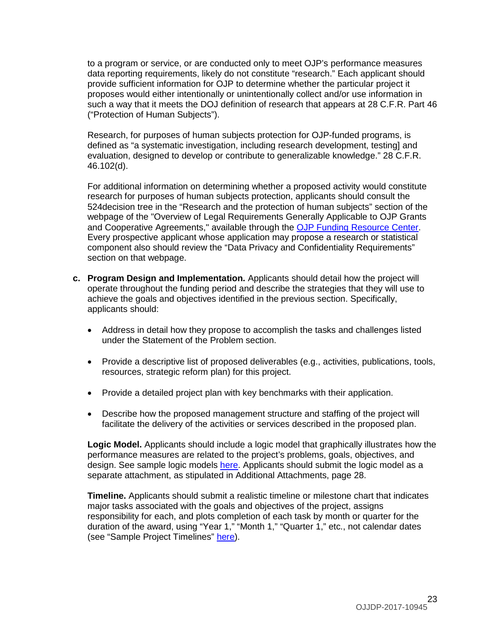to a program or service, or are conducted only to meet OJP's performance measures data reporting requirements, likely do not constitute "research." Each applicant should provide sufficient information for OJP to determine whether the particular project it proposes would either intentionally or unintentionally collect and/or use information in such a way that it meets the DOJ definition of research that appears at 28 C.F.R. Part 46 ("Protection of Human Subjects").

Research, for purposes of human subjects protection for OJP-funded programs, is defined as "a systematic investigation, including research development, testing] and evaluation, designed to develop or contribute to generalizable knowledge." 28 C.F.R. 46.102(d).

For additional information on determining whether a proposed activity would constitute research for purposes of human subjects protection, applicants should consult the 524decision tree in the "Research and the protection of human subjects" section of the webpage of the "Overview of Legal Requirements Generally Applicable to OJP Grants and Cooperative Agreements," available through the [OJP Funding Resource Center.](http://ojp.gov/funding/index.htm) Every prospective applicant whose application may propose a research or statistical component also should review the "Data Privacy and Confidentiality Requirements" section on that webpage.

- **c. Program Design and Implementation.** Applicants should detail how the project will operate throughout the funding period and describe the strategies that they will use to achieve the goals and objectives identified in the previous section. Specifically, applicants should:
	- Address in detail how they propose to accomplish the tasks and challenges listed under the Statement of the Problem section.
	- Provide a descriptive list of proposed deliverables (e.g., activities, publications, tools, resources, strategic reform plan) for this project.
	- Provide a detailed project plan with key benchmarks with their application.
	- Describe how the proposed management structure and staffing of the project will facilitate the delivery of the activities or services described in the proposed plan.

**Logic Model.** Applicants should include a logic model that graphically illustrates how the performance measures are related to the project's problems, goals, objectives, and design. See sample logic models [here.](http://www.ojjdp.gov/grantees/pm/logic_models.html) Applicants should submit the logic model as a separate attachment, as stipulated in Additional Attachments, page 28.

**Timeline.** Applicants should submit a realistic timeline or milestone chart that indicates major tasks associated with the goals and objectives of the project, assigns responsibility for each, and plots completion of each task by month or quarter for the duration of the award, using "Year 1," "Month 1," "Quarter 1," etc., not calendar dates (see "Sample Project Timelines" [here\)](http://www.ojjdp.gov/grantees/timelines.html).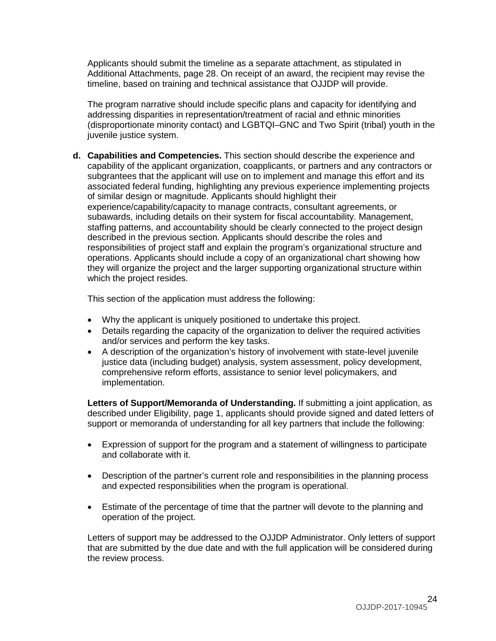Applicants should submit the timeline as a separate attachment, as stipulated in Additional Attachments, page 28. On receipt of an award, the recipient may revise the timeline, based on training and technical assistance that OJJDP will provide.

The program narrative should include specific plans and capacity for identifying and addressing disparities in representation/treatment of racial and ethnic minorities (disproportionate minority contact) and LGBTQI–GNC and Two Spirit (tribal) youth in the juvenile justice system.

**d. Capabilities and Competencies.** This section should describe the experience and capability of the applicant organization, coapplicants, or partners and any contractors or subgrantees that the applicant will use on to implement and manage this effort and its associated federal funding, highlighting any previous experience implementing projects of similar design or magnitude. Applicants should highlight their experience/capability/capacity to manage contracts, consultant agreements, or subawards, including details on their system for fiscal accountability. Management, staffing patterns, and accountability should be clearly connected to the project design described in the previous section. Applicants should describe the roles and responsibilities of project staff and explain the program's organizational structure and operations. Applicants should include a copy of an organizational chart showing how they will organize the project and the larger supporting organizational structure within which the project resides.

This section of the application must address the following:

- Why the applicant is uniquely positioned to undertake this project.
- Details regarding the capacity of the organization to deliver the required activities and/or services and perform the key tasks.
- A description of the organization's history of involvement with state-level juvenile justice data (including budget) analysis, system assessment, policy development, comprehensive reform efforts, assistance to senior level policymakers, and implementation.

**Letters of Support/Memoranda of Understanding.** If submitting a joint application, as described under Eligibility, page 1, applicants should provide signed and dated letters of support or memoranda of understanding for all key partners that include the following:

- Expression of support for the program and a statement of willingness to participate and collaborate with it.
- Description of the partner's current role and responsibilities in the planning process and expected responsibilities when the program is operational.
- Estimate of the percentage of time that the partner will devote to the planning and operation of the project.

Letters of support may be addressed to the OJJDP Administrator. Only letters of support that are submitted by the due date and with the full application will be considered during the review process.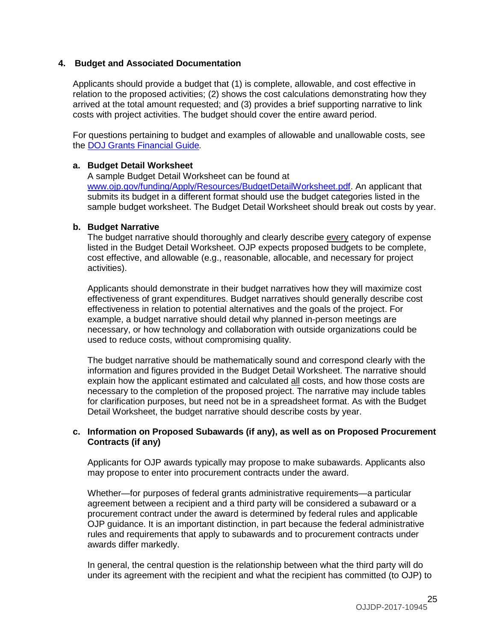#### **4. Budget and Associated Documentation**

Applicants should provide a budget that (1) is complete, allowable, and cost effective in relation to the proposed activities; (2) shows the cost calculations demonstrating how they arrived at the total amount requested; and (3) provides a brief supporting narrative to link costs with project activities. The budget should cover the entire award period.

For questions pertaining to budget and examples of allowable and unallowable costs, see the [DOJ Grants Financial Guide](http://ojp.gov/financialguide/DOJ/index.htm)*.*

#### **a. Budget Detail Worksheet**

A sample Budget Detail Worksheet can be found at [www.ojp.gov/funding/Apply/Resources/BudgetDetailWorksheet.pdf.](http://ojp.gov/funding/Apply/Resources/BudgetDetailWorksheet.pdf) An applicant that submits its budget in a different format should use the budget categories listed in the sample budget worksheet. The Budget Detail Worksheet should break out costs by year.

#### **b. Budget Narrative**

The budget narrative should thoroughly and clearly describe every category of expense listed in the Budget Detail Worksheet. OJP expects proposed budgets to be complete, cost effective, and allowable (e.g., reasonable, allocable, and necessary for project activities).

Applicants should demonstrate in their budget narratives how they will maximize cost effectiveness of grant expenditures. Budget narratives should generally describe cost effectiveness in relation to potential alternatives and the goals of the project. For example, a budget narrative should detail why planned in-person meetings are necessary, or how technology and collaboration with outside organizations could be used to reduce costs, without compromising quality.

The budget narrative should be mathematically sound and correspond clearly with the information and figures provided in the Budget Detail Worksheet. The narrative should explain how the applicant estimated and calculated all costs, and how those costs are necessary to the completion of the proposed project. The narrative may include tables for clarification purposes, but need not be in a spreadsheet format. As with the Budget Detail Worksheet, the budget narrative should describe costs by year.

#### **c. Information on Proposed Subawards (if any), as well as on Proposed Procurement Contracts (if any)**

Applicants for OJP awards typically may propose to make subawards. Applicants also may propose to enter into procurement contracts under the award.

Whether—for purposes of federal grants administrative requirements—a particular agreement between a recipient and a third party will be considered a subaward or a procurement contract under the award is determined by federal rules and applicable OJP guidance. It is an important distinction, in part because the federal administrative rules and requirements that apply to subawards and to procurement contracts under awards differ markedly.

In general, the central question is the relationship between what the third party will do under its agreement with the recipient and what the recipient has committed (to OJP) to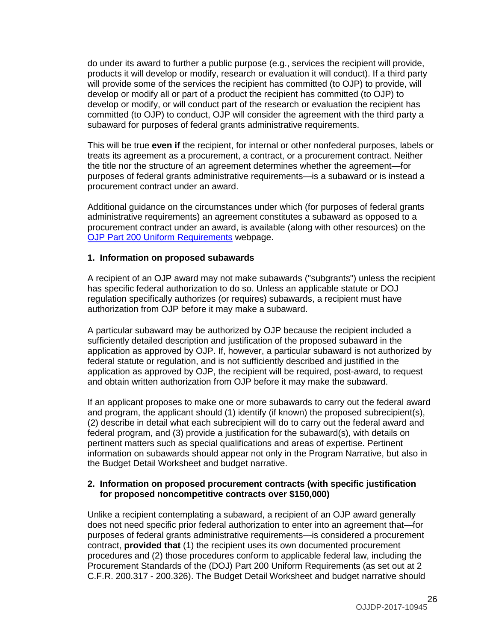do under its award to further a public purpose (e.g., services the recipient will provide, products it will develop or modify, research or evaluation it will conduct). If a third party will provide some of the services the recipient has committed (to OJP) to provide, will develop or modify all or part of a product the recipient has committed (to OJP) to develop or modify, or will conduct part of the research or evaluation the recipient has committed (to OJP) to conduct, OJP will consider the agreement with the third party a subaward for purposes of federal grants administrative requirements.

This will be true **even if** the recipient, for internal or other nonfederal purposes, labels or treats its agreement as a procurement, a contract, or a procurement contract. Neither the title nor the structure of an agreement determines whether the agreement—for purposes of federal grants administrative requirements—is a subaward or is instead a procurement contract under an award.

Additional guidance on the circumstances under which (for purposes of federal grants administrative requirements) an agreement constitutes a subaward as opposed to a procurement contract under an award, is available (along with other resources) on the [OJP Part 200 Uniform Requirements](http://ojp.gov/funding/Part200UniformRequirements.htm) webpage.

#### **1. Information on proposed subawards**

A recipient of an OJP award may not make subawards ("subgrants") unless the recipient has specific federal authorization to do so. Unless an applicable statute or DOJ regulation specifically authorizes (or requires) subawards, a recipient must have authorization from OJP before it may make a subaward.

A particular subaward may be authorized by OJP because the recipient included a sufficiently detailed description and justification of the proposed subaward in the application as approved by OJP. If, however, a particular subaward is not authorized by federal statute or regulation, and is not sufficiently described and justified in the application as approved by OJP, the recipient will be required, post-award, to request and obtain written authorization from OJP before it may make the subaward.

If an applicant proposes to make one or more subawards to carry out the federal award and program, the applicant should (1) identify (if known) the proposed subrecipient(s), (2) describe in detail what each subrecipient will do to carry out the federal award and federal program, and (3) provide a justification for the subaward(s), with details on pertinent matters such as special qualifications and areas of expertise. Pertinent information on subawards should appear not only in the Program Narrative, but also in the Budget Detail Worksheet and budget narrative.

#### **2. Information on proposed procurement contracts (with specific justification for proposed noncompetitive contracts over \$150,000)**

Unlike a recipient contemplating a subaward, a recipient of an OJP award generally does not need specific prior federal authorization to enter into an agreement that—for purposes of federal grants administrative requirements—is considered a procurement contract, **provided that** (1) the recipient uses its own documented procurement procedures and (2) those procedures conform to applicable federal law, including the Procurement Standards of the (DOJ) Part 200 Uniform Requirements (as set out at 2 C.F.R. 200.317 - 200.326). The Budget Detail Worksheet and budget narrative should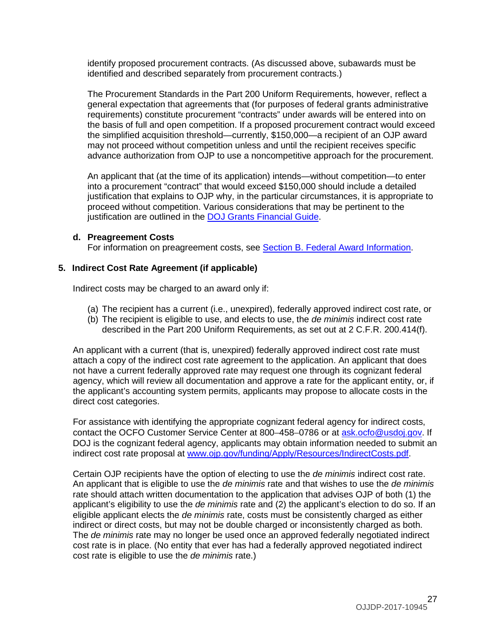identify proposed procurement contracts. (As discussed above, subawards must be identified and described separately from procurement contracts.)

The Procurement Standards in the Part 200 Uniform Requirements, however, reflect a general expectation that agreements that (for purposes of federal grants administrative requirements) constitute procurement "contracts" under awards will be entered into on the basis of full and open competition. If a proposed procurement contract would exceed the simplified acquisition threshold—currently, \$150,000—a recipient of an OJP award may not proceed without competition unless and until the recipient receives specific advance authorization from OJP to use a noncompetitive approach for the procurement.

An applicant that (at the time of its application) intends—without competition—to enter into a procurement "contract" that would exceed \$150,000 should include a detailed justification that explains to OJP why, in the particular circumstances, it is appropriate to proceed without competition. Various considerations that may be pertinent to the justification are outlined in the [DOJ Grants Financial Guide.](http://ojp.gov/financialguide/DOJ/index.htm)

#### **d. Preagreement Costs**

For information on preagreement costs, see [Section B. Federal Award Information.](#page-10-0)

#### **5. Indirect Cost Rate Agreement (if applicable)**

Indirect costs may be charged to an award only if:

- (a) The recipient has a current (i.e., unexpired), federally approved indirect cost rate, or
- (b) The recipient is eligible to use, and elects to use, the *de minimis* indirect cost rate described in the Part 200 Uniform Requirements, as set out at 2 C.F.R. 200.414(f).

An applicant with a current (that is, unexpired) federally approved indirect cost rate must attach a copy of the indirect cost rate agreement to the application. An applicant that does not have a current federally approved rate may request one through its cognizant federal agency, which will review all documentation and approve a rate for the applicant entity, or, if the applicant's accounting system permits, applicants may propose to allocate costs in the direct cost categories.

For assistance with identifying the appropriate cognizant federal agency for indirect costs, contact the OCFO Customer Service Center at 800–458–0786 or at [ask.ocfo@usdoj.gov.](mailto:ask.ocfo@usdoj.gov) If DOJ is the cognizant federal agency, applicants may obtain information needed to submit an indirect cost rate proposal at [www.ojp.gov/funding/Apply/Resources/IndirectCosts.pdf.](http://www.ojp.gov/funding/Apply/Resources/IndirectCosts.pdf)

Certain OJP recipients have the option of electing to use the *de minimis* indirect cost rate. An applicant that is eligible to use the *de minimis* rate and that wishes to use the *de minimis* rate should attach written documentation to the application that advises OJP of both (1) the applicant's eligibility to use the *de minimis* rate and (2) the applicant's election to do so. If an eligible applicant elects the *de minimis* rate, costs must be consistently charged as either indirect or direct costs, but may not be double charged or inconsistently charged as both. The *de minimis* rate may no longer be used once an approved federally negotiated indirect cost rate is in place. (No entity that ever has had a federally approved negotiated indirect cost rate is eligible to use the *de minimis* rate.)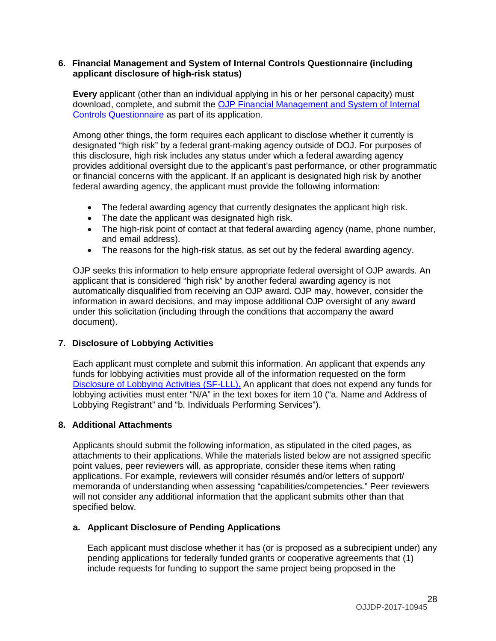#### **6. Financial Management and System of Internal Controls Questionnaire (including applicant disclosure of high-risk status)**

**Every** applicant (other than an individual applying in his or her personal capacity) must download, complete, and submit the [OJP Financial Management and System of Internal](http://ojp.gov/funding/Apply/Resources/FinancialCapability.pdf)  [Controls Questionnaire](http://ojp.gov/funding/Apply/Resources/FinancialCapability.pdf) as part of its application.

Among other things, the form requires each applicant to disclose whether it currently is designated "high risk" by a federal grant-making agency outside of DOJ. For purposes of this disclosure, high risk includes any status under which a federal awarding agency provides additional oversight due to the applicant's past performance, or other programmatic or financial concerns with the applicant. If an applicant is designated high risk by another federal awarding agency, the applicant must provide the following information:

- The federal awarding agency that currently designates the applicant high risk.
- The date the applicant was designated high risk.
- The high-risk point of contact at that federal awarding agency (name, phone number, and email address).
- The reasons for the high-risk status, as set out by the federal awarding agency.

OJP seeks this information to help ensure appropriate federal oversight of OJP awards. An applicant that is considered "high risk" by another federal awarding agency is not automatically disqualified from receiving an OJP award. OJP may, however, consider the information in award decisions, and may impose additional OJP oversight of any award under this solicitation (including through the conditions that accompany the award document).

#### **7. Disclosure of Lobbying Activities**

Each applicant must complete and submit this information. An applicant that expends any funds for lobbying activities must provide all of the information requested on the form [Disclosure of Lobbying Activities \(SF-LLL\).](http://ojp.gov/funding/Apply/Resources/Disclosure.pdf) An applicant that does not expend any funds for lobbying activities must enter "N/A" in the text boxes for item 10 ("a. Name and Address of Lobbying Registrant" and "b. Individuals Performing Services").

#### **8. Additional Attachments**

Applicants should submit the following information, as stipulated in the cited pages, as attachments to their applications. While the materials listed below are not assigned specific point values, peer reviewers will, as appropriate, consider these items when rating applications. For example, reviewers will consider résumés and/or letters of support/ memoranda of understanding when assessing "capabilities/competencies." Peer reviewers will not consider any additional information that the applicant submits other than that specified below.

#### **a. Applicant Disclosure of Pending Applications**

Each applicant must disclose whether it has (or is proposed as a subrecipient under) any pending applications for federally funded grants or cooperative agreements that (1) include requests for funding to support the same project being proposed in the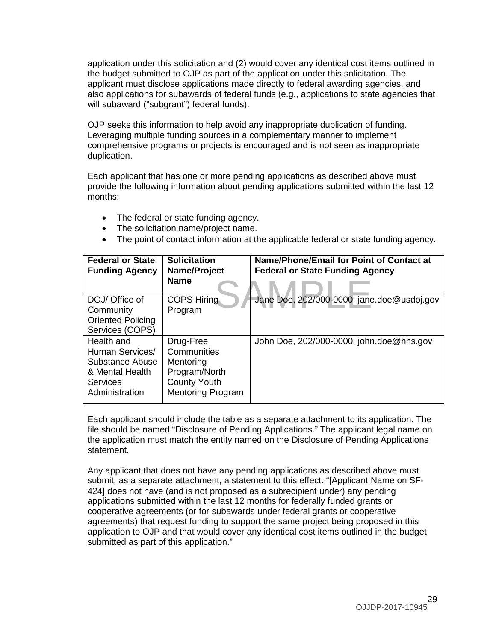application under this solicitation and (2) would cover any identical cost items outlined in the budget submitted to OJP as part of the application under this solicitation. The applicant must disclose applications made directly to federal awarding agencies, and also applications for subawards of federal funds (e.g., applications to state agencies that will subaward ("subgrant") federal funds).

OJP seeks this information to help avoid any inappropriate duplication of funding. Leveraging multiple funding sources in a complementary manner to implement comprehensive programs or projects is encouraged and is not seen as inappropriate duplication.

Each applicant that has one or more pending applications as described above must provide the following information about pending applications submitted within the last 12 months:

- The federal or state funding agency.
- The solicitation name/project name.
- The point of contact information at the applicable federal or state funding agency.

| <b>Federal or State</b><br><b>Funding Agency</b>                                                  | <b>Solicitation</b><br>Name/Project<br><b>Name</b>                                                        | Name/Phone/Email for Point of Contact at<br><b>Federal or State Funding Agency</b> |
|---------------------------------------------------------------------------------------------------|-----------------------------------------------------------------------------------------------------------|------------------------------------------------------------------------------------|
| DOJ/ Office of<br>Community<br><b>Oriented Policing</b><br>Services (COPS)                        | <b>COPS Hiring</b><br>Program                                                                             | Jane Doe, 202/000-0000; jane.doe@usdoj.gov                                         |
| Health and<br>Human Services/<br>Substance Abuse<br>& Mental Health<br>Services<br>Administration | Drug-Free<br>Communities<br>Mentoring<br>Program/North<br><b>County Youth</b><br><b>Mentoring Program</b> | John Doe, 202/000-0000; john.doe@hhs.gov                                           |

Each applicant should include the table as a separate attachment to its application. The file should be named "Disclosure of Pending Applications." The applicant legal name on the application must match the entity named on the Disclosure of Pending Applications statement.

Any applicant that does not have any pending applications as described above must submit, as a separate attachment, a statement to this effect: "[Applicant Name on SF-424] does not have (and is not proposed as a subrecipient under) any pending applications submitted within the last 12 months for federally funded grants or cooperative agreements (or for subawards under federal grants or cooperative agreements) that request funding to support the same project being proposed in this application to OJP and that would cover any identical cost items outlined in the budget submitted as part of this application."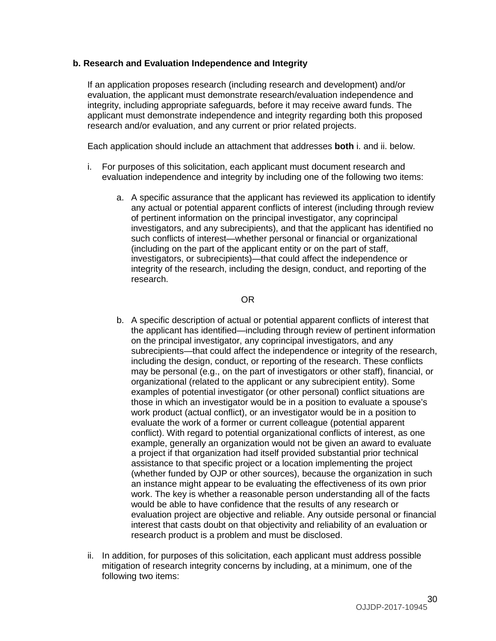#### **b. Research and Evaluation Independence and Integrity**

If an application proposes research (including research and development) and/or evaluation, the applicant must demonstrate research/evaluation independence and integrity, including appropriate safeguards, before it may receive award funds. The applicant must demonstrate independence and integrity regarding both this proposed research and/or evaluation, and any current or prior related projects.

Each application should include an attachment that addresses **both** i. and ii. below.

- i. For purposes of this solicitation, each applicant must document research and evaluation independence and integrity by including one of the following two items:
	- a. A specific assurance that the applicant has reviewed its application to identify any actual or potential apparent conflicts of interest (including through review of pertinent information on the principal investigator, any coprincipal investigators, and any subrecipients), and that the applicant has identified no such conflicts of interest—whether personal or financial or organizational (including on the part of the applicant entity or on the part of staff, investigators, or subrecipients)—that could affect the independence or integrity of the research, including the design, conduct, and reporting of the research.

#### OR

- b. A specific description of actual or potential apparent conflicts of interest that the applicant has identified—including through review of pertinent information on the principal investigator, any coprincipal investigators, and any subrecipients—that could affect the independence or integrity of the research, including the design, conduct, or reporting of the research. These conflicts may be personal (e.g., on the part of investigators or other staff), financial, or organizational (related to the applicant or any subrecipient entity). Some examples of potential investigator (or other personal) conflict situations are those in which an investigator would be in a position to evaluate a spouse's work product (actual conflict), or an investigator would be in a position to evaluate the work of a former or current colleague (potential apparent conflict). With regard to potential organizational conflicts of interest, as one example, generally an organization would not be given an award to evaluate a project if that organization had itself provided substantial prior technical assistance to that specific project or a location implementing the project (whether funded by OJP or other sources), because the organization in such an instance might appear to be evaluating the effectiveness of its own prior work. The key is whether a reasonable person understanding all of the facts would be able to have confidence that the results of any research or evaluation project are objective and reliable. Any outside personal or financial interest that casts doubt on that objectivity and reliability of an evaluation or research product is a problem and must be disclosed.
- ii. In addition, for purposes of this solicitation, each applicant must address possible mitigation of research integrity concerns by including, at a minimum, one of the following two items: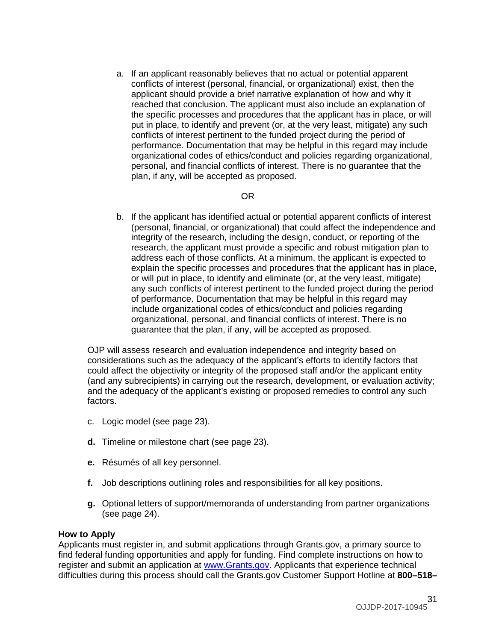a. If an applicant reasonably believes that no actual or potential apparent conflicts of interest (personal, financial, or organizational) exist, then the applicant should provide a brief narrative explanation of how and why it reached that conclusion. The applicant must also include an explanation of the specific processes and procedures that the applicant has in place, or will put in place, to identify and prevent (or, at the very least, mitigate) any such conflicts of interest pertinent to the funded project during the period of performance. Documentation that may be helpful in this regard may include organizational codes of ethics/conduct and policies regarding organizational, personal, and financial conflicts of interest. There is no guarantee that the plan, if any, will be accepted as proposed.

### OR

b. If the applicant has identified actual or potential apparent conflicts of interest (personal, financial, or organizational) that could affect the independence and integrity of the research, including the design, conduct, or reporting of the research, the applicant must provide a specific and robust mitigation plan to address each of those conflicts. At a minimum, the applicant is expected to explain the specific processes and procedures that the applicant has in place, or will put in place, to identify and eliminate (or, at the very least, mitigate) any such conflicts of interest pertinent to the funded project during the period of performance. Documentation that may be helpful in this regard may include organizational codes of ethics/conduct and policies regarding organizational, personal, and financial conflicts of interest. There is no guarantee that the plan, if any, will be accepted as proposed.

OJP will assess research and evaluation independence and integrity based on considerations such as the adequacy of the applicant's efforts to identify factors that could affect the objectivity or integrity of the proposed staff and/or the applicant entity (and any subrecipients) in carrying out the research, development, or evaluation activity; and the adequacy of the applicant's existing or proposed remedies to control any such factors.

- c. Logic model (see page 23).
- **d.** Timeline or milestone chart (see page 23).
- **e.** Résumés of all key personnel.
- **f.** Job descriptions outlining roles and responsibilities for all key positions.
- **g.** Optional letters of support/memoranda of understanding from partner organizations (see page 24).

#### <span id="page-30-0"></span>**How to Apply**

Applicants must register in, and submit applications through Grants.gov, a primary source to find federal funding opportunities and apply for funding. Find complete instructions on how to register and submit an application at [www.Grants.gov.](http://www.grants.gov/) Applicants that experience technical difficulties during this process should call the Grants.gov Customer Support Hotline at **800–518–**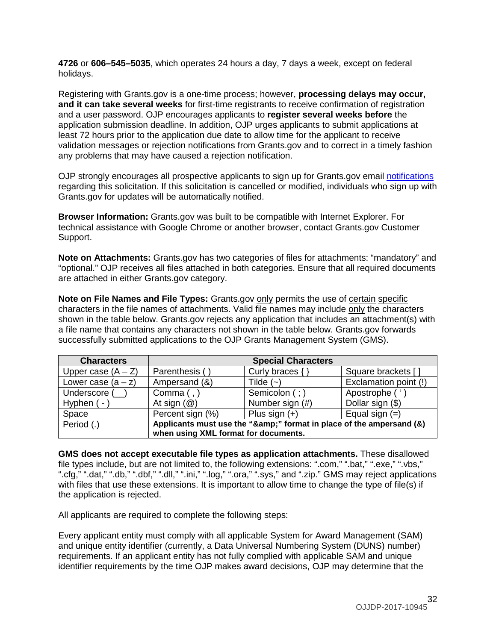**4726** or **606–545–5035**, which operates 24 hours a day, 7 days a week, except on federal holidays.

Registering with Grants.gov is a one-time process; however, **processing delays may occur, and it can take several weeks** for first-time registrants to receive confirmation of registration and a user password. OJP encourages applicants to **register several weeks before** the application submission deadline. In addition, OJP urges applicants to submit applications at least 72 hours prior to the application due date to allow time for the applicant to receive validation messages or rejection notifications from Grants.gov and to correct in a timely fashion any problems that may have caused a rejection notification.

OJP strongly encourages all prospective applicants to sign up for Grants.gov email [notifications](http://www.grants.gov/web/grants/manage-subscriptions.html) regarding this solicitation. If this solicitation is cancelled or modified, individuals who sign up with Grants.gov for updates will be automatically notified.

**Browser Information:** Grants.gov was built to be compatible with Internet Explorer. For technical assistance with Google Chrome or another browser, contact Grants.gov Customer Support.

**Note on Attachments:** Grants.gov has two categories of files for attachments: "mandatory" and "optional." OJP receives all files attached in both categories. Ensure that all required documents are attached in either Grants.gov category.

**Note on File Names and File Types:** Grants.gov only permits the use of certain specific characters in the file names of attachments. Valid file names may include only the characters shown in the table below. Grants.gov rejects any application that includes an attachment(s) with a file name that contains any characters not shown in the table below. Grants.gov forwards successfully submitted applications to the OJP Grants Management System (GMS).

| <b>Characters</b>    |                                                                  | <b>Special Characters</b> |                       |
|----------------------|------------------------------------------------------------------|---------------------------|-----------------------|
| Upper case $(A - Z)$ | Parenthesis (                                                    | Curly braces $\{ \}$      | Square brackets [     |
| Lower case $(a - z)$ | Ampersand (&)                                                    | Tilde $(-)$               | Exclamation point (!) |
| Underscore (         | Comma $($ , $)$                                                  | Semicolon (; )            | Apostrophe ('         |
| Hyphen $(-)$         | At sign $(\mathcal{Q})$                                          | Number sign (#)           | Dollar sign (\$)      |
| Space                | Percent sign (%)                                                 | Plus sign $(+)$           | Equal sign $(=)$      |
| Period (.)           | Applicants must use the "&" format in place of the ampersand (&) |                           |                       |
|                      | when using XML format for documents.                             |                           |                       |

**GMS does not accept executable file types as application attachments.** These disallowed file types include, but are not limited to, the following extensions: ".com," ".bat," ".exe," ".vbs," ".cfg," ".dat," ".db," ".dbf," ".dll," ".ini," ".log," ".ora," ".sys," and ".zip." GMS may reject applications with files that use these extensions. It is important to allow time to change the type of file(s) if the application is rejected.

All applicants are required to complete the following steps:

Every applicant entity must comply with all applicable System for Award Management (SAM) and unique entity identifier (currently, a Data Universal Numbering System (DUNS) number) requirements. If an applicant entity has not fully complied with applicable SAM and unique identifier requirements by the time OJP makes award decisions, OJP may determine that the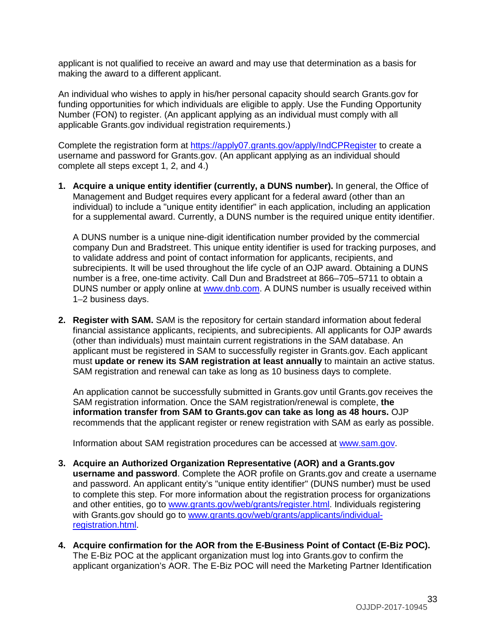applicant is not qualified to receive an award and may use that determination as a basis for making the award to a different applicant.

An individual who wishes to apply in his/her personal capacity should search Grants.gov for funding opportunities for which individuals are eligible to apply. Use the Funding Opportunity Number (FON) to register. (An applicant applying as an individual must comply with all applicable Grants.gov individual registration requirements.)

Complete the registration form at<https://apply07.grants.gov/apply/IndCPRegister> to create a username and password for Grants.gov. (An applicant applying as an individual should complete all steps except 1, 2, and 4.)

**1. Acquire a unique entity identifier (currently, a DUNS number).** In general, the Office of Management and Budget requires every applicant for a federal award (other than an individual) to include a "unique entity identifier" in each application, including an application for a supplemental award. Currently, a DUNS number is the required unique entity identifier.

A DUNS number is a unique nine-digit identification number provided by the commercial company Dun and Bradstreet. This unique entity identifier is used for tracking purposes, and to validate address and point of contact information for applicants, recipients, and subrecipients. It will be used throughout the life cycle of an OJP award. Obtaining a DUNS number is a free, one-time activity. Call Dun and Bradstreet at 866–705–5711 to obtain a DUNS number or apply online at [www.dnb.com.](http://www.dnb.com/) A DUNS number is usually received within 1–2 business days.

**2. Register with SAM.** SAM is the repository for certain standard information about federal financial assistance applicants, recipients, and subrecipients. All applicants for OJP awards (other than individuals) must maintain current registrations in the SAM database. An applicant must be registered in SAM to successfully register in Grants.gov. Each applicant must **update or renew its SAM registration at least annually** to maintain an active status. SAM registration and renewal can take as long as 10 business days to complete.

An application cannot be successfully submitted in Grants.gov until Grants.gov receives the SAM registration information. Once the SAM registration/renewal is complete, **the information transfer from SAM to Grants.gov can take as long as 48 hours.** OJP recommends that the applicant register or renew registration with SAM as early as possible.

Information about SAM registration procedures can be accessed at [www.sam.gov.](http://www.sam.gov/)

- **3. Acquire an Authorized Organization Representative (AOR) and a Grants.gov username and password**. Complete the AOR profile on Grants.gov and create a username and password. An applicant entity's "unique entity identifier" (DUNS number) must be used to complete this step. For more information about the registration process for organizations and other entities, go to [www.grants.gov/web/grants/register.html.](http://www.grants.gov/web/grants/register.html) Individuals registering with Grants.gov should go to [www.grants.gov/web/grants/applicants/individual](http://www.grants.gov/web/grants/applicants/individual-registration.html)[registration.html.](http://www.grants.gov/web/grants/applicants/individual-registration.html)
- **4. Acquire confirmation for the AOR from the E-Business Point of Contact (E-Biz POC).**  The E-Biz POC at the applicant organization must log into Grants.gov to confirm the applicant organization's AOR. The E-Biz POC will need the Marketing Partner Identification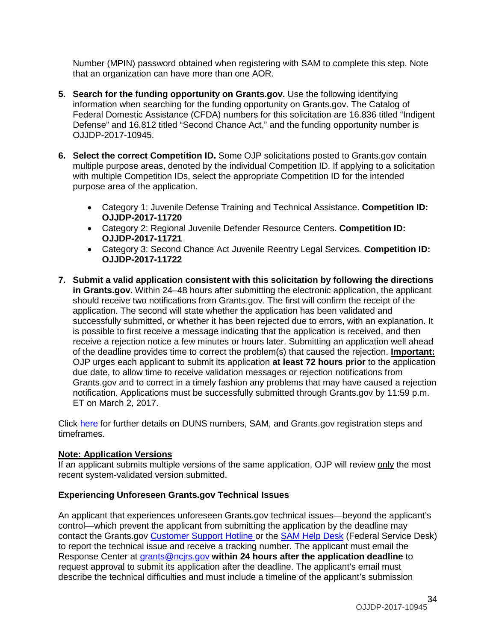Number (MPIN) password obtained when registering with SAM to complete this step. Note that an organization can have more than one AOR.

- **5. Search for the funding opportunity on Grants.gov.** Use the following identifying information when searching for the funding opportunity on Grants.gov. The Catalog of Federal Domestic Assistance (CFDA) numbers for this solicitation are 16.836 titled "Indigent Defense" and 16.812 titled "Second Chance Act," and the funding opportunity number is OJJDP-2017-10945.
- **6. Select the correct Competition ID.** Some OJP solicitations posted to Grants.gov contain multiple purpose areas, denoted by the individual Competition ID. If applying to a solicitation with multiple Competition IDs, select the appropriate Competition ID for the intended purpose area of the application.
	- Category 1: Juvenile Defense Training and Technical Assistance. **Competition ID: OJJDP-2017-11720**
	- Category 2: Regional Juvenile Defender Resource Centers. **Competition ID: OJJDP-2017-11721**
	- Category 3: Second Chance Act Juvenile Reentry Legal Services*.* **Competition ID: OJJDP-2017-11722**
- **7. Submit a valid application consistent with this solicitation by following the directions in Grants.gov.** Within 24–48 hours after submitting the electronic application, the applicant should receive two notifications from Grants.gov. The first will confirm the receipt of the application. The second will state whether the application has been validated and successfully submitted, or whether it has been rejected due to errors, with an explanation. It is possible to first receive a message indicating that the application is received, and then receive a rejection notice a few minutes or hours later. Submitting an application well ahead of the deadline provides time to correct the problem(s) that caused the rejection. **Important:** OJP urges each applicant to submit its application **at least 72 hours prior** to the application due date, to allow time to receive validation messages or rejection notifications from Grants.gov and to correct in a timely fashion any problems that may have caused a rejection notification. Applications must be successfully submitted through Grants.gov by 11:59 p.m. ET on March 2, 2017.

Click [here](http://www.grants.gov/web/grants/applicants/organization-registration.html) for further details on DUNS numbers, SAM, and Grants.gov registration steps and timeframes.

#### **Note: Application Versions**

If an applicant submits multiple versions of the same application, OJP will review only the most recent system-validated version submitted.

#### **Experiencing Unforeseen Grants.gov Technical Issues**

An applicant that experiences unforeseen Grants.gov technical issues—beyond the applicant's control—which prevent the applicant from submitting the application by the deadline may contact the Grants.gov [Customer Support Hotline](http://www.grants.gov/web/grants/support.html) or the [SAM Help Desk](https://www.fsd.gov/fsd-gov/home.do) (Federal Service Desk) to report the technical issue and receive a tracking number. The applicant must email the Response Center at [grants@ncjrs.gov](mailto:grants@ncjrs.gov) **within 24 hours after the application deadline** to request approval to submit its application after the deadline. The applicant's email must describe the technical difficulties and must include a timeline of the applicant's submission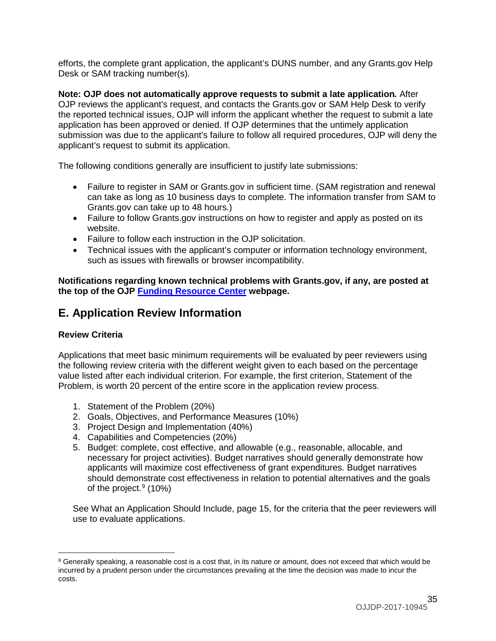efforts, the complete grant application, the applicant's DUNS number, and any Grants.gov Help Desk or SAM tracking number(s).

**Note: OJP does not automatically approve requests to submit a late application***.* After OJP reviews the applicant's request, and contacts the Grants.gov or SAM Help Desk to verify the reported technical issues, OJP will inform the applicant whether the request to submit a late application has been approved or denied. If OJP determines that the untimely application submission was due to the applicant's failure to follow all required procedures, OJP will deny the applicant's request to submit its application.

The following conditions generally are insufficient to justify late submissions:

- Failure to register in SAM or Grants.gov in sufficient time. (SAM registration and renewal can take as long as 10 business days to complete. The information transfer from SAM to Grants.gov can take up to 48 hours.)
- Failure to follow Grants.gov instructions on how to register and apply as posted on its website.
- Failure to follow each instruction in the OJP solicitation.
- Technical issues with the applicant's computer or information technology environment, such as issues with firewalls or browser incompatibility.

**Notifications regarding known technical problems with Grants.gov, if any, are posted at the top of the OJP [Funding Resource Center](http://ojp.gov/funding/index.htm) webpage.**

# <span id="page-34-0"></span>**E. Application Review Information**

#### <span id="page-34-1"></span>**Review Criteria**

<span id="page-34-2"></span> $\overline{a}$ 

Applications that meet basic minimum requirements will be evaluated by peer reviewers using the following review criteria with the different weight given to each based on the percentage value listed after each individual criterion. For example, the first criterion, Statement of the Problem, is worth 20 percent of the entire score in the application review process.

- 1. Statement of the Problem (20%)
- 2. Goals, Objectives, and Performance Measures (10%)
- 3. Project Design and Implementation (40%)
- 4. Capabilities and Competencies (20%)
- 5. Budget: complete, cost effective, and allowable (e.g., reasonable, allocable, and necessary for project activities). Budget narratives should generally demonstrate how applicants will maximize cost effectiveness of grant expenditures. Budget narratives should demonstrate cost effectiveness in relation to potential alternatives and the goals of the project. [9](#page-34-3) (10%)

See What an Application Should Include, page 15, for the criteria that the peer reviewers will use to evaluate applications.

<span id="page-34-3"></span><sup>9</sup> Generally speaking, a reasonable cost is a cost that, in its nature or amount, does not exceed that which would be incurred by a prudent person under the circumstances prevailing at the time the decision was made to incur the costs.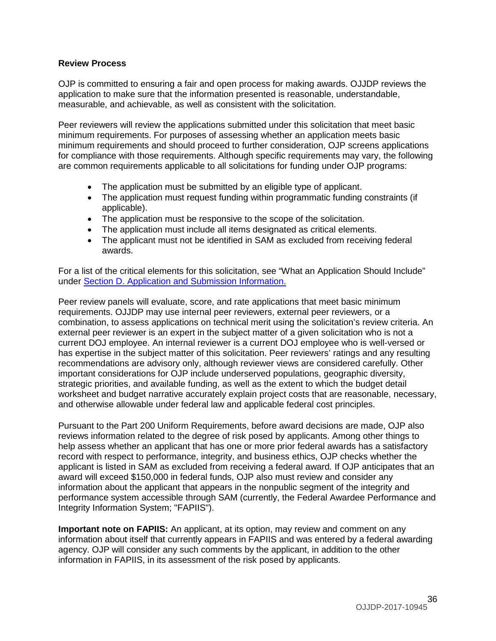#### **Review Process**

OJP is committed to ensuring a fair and open process for making awards. OJJDP reviews the application to make sure that the information presented is reasonable, understandable, measurable, and achievable, as well as consistent with the solicitation.

Peer reviewers will review the applications submitted under this solicitation that meet basic minimum requirements. For purposes of assessing whether an application meets basic minimum requirements and should proceed to further consideration, OJP screens applications for compliance with those requirements. Although specific requirements may vary, the following are common requirements applicable to all solicitations for funding under OJP programs:

- The application must be submitted by an eligible type of applicant.
- The application must request funding within programmatic funding constraints (if applicable).
- The application must be responsive to the scope of the solicitation.
- The application must include all items designated as critical elements.
- The applicant must not be identified in SAM as excluded from receiving federal awards.

For a list of the critical elements for this solicitation, see "What an Application Should Include" under [Section D. Application and Submission Information.](#page-14-0)

Peer review panels will evaluate, score, and rate applications that meet basic minimum requirements. OJJDP may use internal peer reviewers, external peer reviewers, or a combination, to assess applications on technical merit using the solicitation's review criteria. An external peer reviewer is an expert in the subject matter of a given solicitation who is not a current DOJ employee. An internal reviewer is a current DOJ employee who is well-versed or has expertise in the subject matter of this solicitation. Peer reviewers' ratings and any resulting recommendations are advisory only, although reviewer views are considered carefully. Other important considerations for OJP include underserved populations, geographic diversity, strategic priorities, and available funding, as well as the extent to which the budget detail worksheet and budget narrative accurately explain project costs that are reasonable, necessary, and otherwise allowable under federal law and applicable federal cost principles.

Pursuant to the Part 200 Uniform Requirements, before award decisions are made, OJP also reviews information related to the degree of risk posed by applicants. Among other things to help assess whether an applicant that has one or more prior federal awards has a satisfactory record with respect to performance, integrity, and business ethics, OJP checks whether the applicant is listed in SAM as excluded from receiving a federal award*.* If OJP anticipates that an award will exceed \$150,000 in federal funds, OJP also must review and consider any information about the applicant that appears in the nonpublic segment of the integrity and performance system accessible through SAM (currently, the Federal Awardee Performance and Integrity Information System; "FAPIIS").

**Important note on FAPIIS:** An applicant, at its option, may review and comment on any information about itself that currently appears in FAPIIS and was entered by a federal awarding agency. OJP will consider any such comments by the applicant, in addition to the other information in FAPIIS, in its assessment of the risk posed by applicants.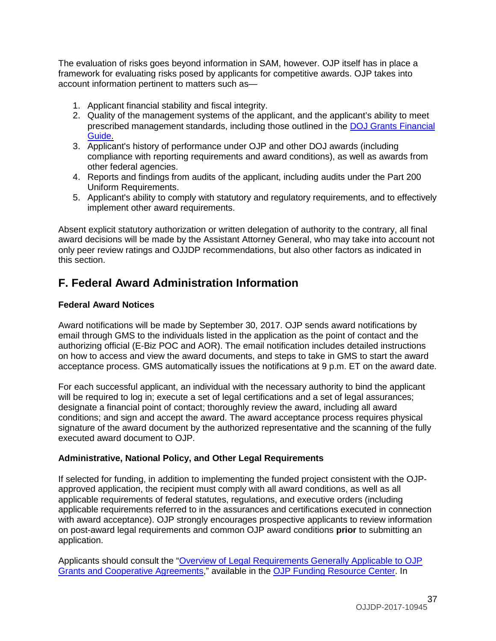The evaluation of risks goes beyond information in SAM, however. OJP itself has in place a framework for evaluating risks posed by applicants for competitive awards. OJP takes into account information pertinent to matters such as—

- 1. Applicant financial stability and fiscal integrity.
- 2. Quality of the management systems of the applicant, and the applicant's ability to meet prescribed management standards, including those outlined in the [DOJ Grants Financial](http://ojp.gov/financialguide/DOJ/index.htm)  [Guide.](http://ojp.gov/financialguide/DOJ/index.htm)
- 3. Applicant's history of performance under OJP and other DOJ awards (including compliance with reporting requirements and award conditions), as well as awards from other federal agencies.
- 4. Reports and findings from audits of the applicant, including audits under the Part 200 Uniform Requirements.
- 5. Applicant's ability to comply with statutory and regulatory requirements, and to effectively implement other award requirements.

Absent explicit statutory authorization or written delegation of authority to the contrary, all final award decisions will be made by the Assistant Attorney General, who may take into account not only peer review ratings and OJJDP recommendations, but also other factors as indicated in this section.

# <span id="page-36-0"></span>**F. Federal Award Administration Information**

# <span id="page-36-1"></span>**Federal Award Notices**

Award notifications will be made by September 30, 2017. OJP sends award notifications by email through GMS to the individuals listed in the application as the point of contact and the authorizing official (E-Biz POC and AOR). The email notification includes detailed instructions on how to access and view the award documents, and steps to take in GMS to start the award acceptance process. GMS automatically issues the notifications at 9 p.m. ET on the award date.

For each successful applicant, an individual with the necessary authority to bind the applicant will be required to log in; execute a set of legal certifications and a set of legal assurances; designate a financial point of contact; thoroughly review the award, including all award conditions; and sign and accept the award. The award acceptance process requires physical signature of the award document by the authorized representative and the scanning of the fully executed award document to OJP.

# <span id="page-36-2"></span>**Administrative, National Policy, and Other Legal Requirements**

If selected for funding, in addition to implementing the funded project consistent with the OJPapproved application, the recipient must comply with all award conditions, as well as all applicable requirements of federal statutes, regulations, and executive orders (including applicable requirements referred to in the assurances and certifications executed in connection with award acceptance). OJP strongly encourages prospective applicants to review information on post-award legal requirements and common OJP award conditions **prior** to submitting an application.

Applicants should consult the ["Overview of Legal Requirements Generally Applicable to OJP](http://ojp.gov/funding/Explore/SolicitationRequirements/index.htm)  [Grants and Cooperative Agreements,](http://ojp.gov/funding/Explore/SolicitationRequirements/index.htm)" available in the [OJP Funding Resource Center.](http://ojp.gov/funding/index.htm) In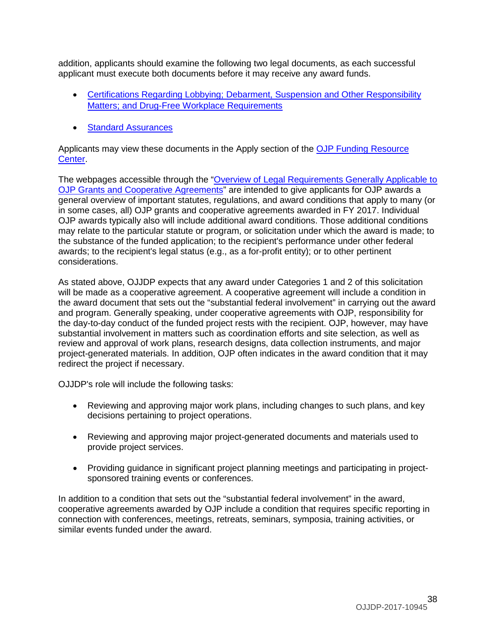addition, applicants should examine the following two legal documents, as each successful applicant must execute both documents before it may receive any award funds.

- [Certifications Regarding Lobbying; Debarment, Suspension and Other Responsibility](http://ojp.gov/funding/Apply/Resources/Certifications.pdf)  [Matters; and Drug-Free Workplace Requirements](http://ojp.gov/funding/Apply/Resources/Certifications.pdf)
- [Standard Assurances](http://ojp.gov/funding/Apply/Resources/StandardAssurances.pdf)

Applicants may view these documents in the Apply section of the [OJP Funding Resource](http://ojp.gov/funding/index.htm)  [Center.](http://ojp.gov/funding/index.htm)

The webpages accessible through the "Overview of Legal Requirements Generally Applicable to [OJP Grants and Cooperative Agreements"](http://ojp.gov/funding/Explore/SolicitationRequirements/index.htm) are intended to give applicants for OJP awards a general overview of important statutes, regulations, and award conditions that apply to many (or in some cases, all) OJP grants and cooperative agreements awarded in FY 2017. Individual OJP awards typically also will include additional award conditions. Those additional conditions may relate to the particular statute or program, or solicitation under which the award is made; to the substance of the funded application; to the recipient's performance under other federal awards; to the recipient's legal status (e.g., as a for-profit entity); or to other pertinent considerations.

As stated above, OJJDP expects that any award under Categories 1 and 2 of this solicitation will be made as a cooperative agreement. A cooperative agreement will include a condition in the award document that sets out the "substantial federal involvement" in carrying out the award and program. Generally speaking, under cooperative agreements with OJP, responsibility for the day-to-day conduct of the funded project rests with the recipient. OJP, however, may have substantial involvement in matters such as coordination efforts and site selection, as well as review and approval of work plans, research designs, data collection instruments, and major project-generated materials. In addition, OJP often indicates in the award condition that it may redirect the project if necessary.

OJJDP's role will include the following tasks:

- Reviewing and approving major work plans, including changes to such plans, and key decisions pertaining to project operations.
- Reviewing and approving major project-generated documents and materials used to provide project services.
- Providing guidance in significant project planning meetings and participating in projectsponsored training events or conferences.

<span id="page-37-0"></span>In addition to a condition that sets out the "substantial federal involvement" in the award, cooperative agreements awarded by OJP include a condition that requires specific reporting in connection with conferences, meetings, retreats, seminars, symposia, training activities, or similar events funded under the award.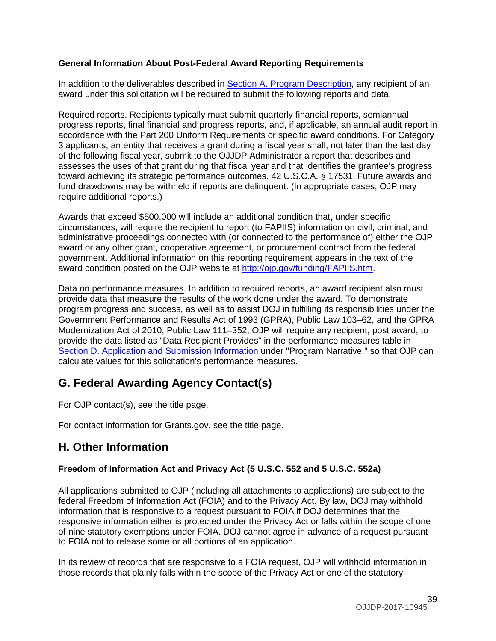### <span id="page-38-3"></span>**General Information About Post-Federal Award Reporting Requirements**

In addition to the deliverables described in [Section A. Program Description,](#page-3-0) any recipient of an award under this solicitation will be required to submit the following reports and data.

Required reports. Recipients typically must submit quarterly financial reports, semiannual progress reports, final financial and progress reports, and, if applicable, an annual audit report in accordance with the Part 200 Uniform Requirements or specific award conditions. For Category 3 applicants, an entity that receives a grant during a fiscal year shall, not later than the last day of the following fiscal year, submit to the OJJDP Administrator a report that describes and assesses the uses of that grant during that fiscal year and that identifies the grantee's progress toward achieving its strategic performance outcomes. 42 U.S.C.A. § 17531. Future awards and fund drawdowns may be withheld if reports are delinquent. (In appropriate cases, OJP may require additional reports.)

Awards that exceed \$500,000 will include an additional condition that, under specific circumstances, will require the recipient to report (to FAPIIS) information on civil, criminal, and administrative proceedings connected with (or connected to the performance of) either the OJP award or any other grant, cooperative agreement, or procurement contract from the federal government. Additional information on this reporting requirement appears in the text of the award condition posted on the OJP website at [http://ojp.gov/funding/FAPIIS.htm.](http://ojp.gov/funding/FAPIIS.htm)

Data on performance measures. In addition to required reports, an award recipient also must provide data that measure the results of the work done under the award. To demonstrate program progress and success, as well as to assist DOJ in fulfilling its responsibilities under the Government Performance and Results Act of 1993 (GPRA), Public Law 103–62, and the GPRA Modernization Act of 2010, Public Law 111–352, OJP will require any recipient, post award, to provide the data listed as "Data Recipient Provides" in the performance measures table in [Section D. Application and Submission Information](#page-14-0) under "Program Narrative," so that OJP can calculate values for this solicitation's performance measures.

# <span id="page-38-0"></span>**G. Federal Awarding Agency Contact(s)**

For OJP contact(s), see the title page.

For contact information for Grants.gov, see the title page.

# <span id="page-38-1"></span>**H. Other Information**

# <span id="page-38-2"></span>**Freedom of Information Act and Privacy Act (5 U.S.C. 552 and 5 U.S.C. 552a)**

All applications submitted to OJP (including all attachments to applications) are subject to the federal Freedom of Information Act (FOIA) and to the Privacy Act. By law, DOJ may withhold information that is responsive to a request pursuant to FOIA if DOJ determines that the responsive information either is protected under the Privacy Act or falls within the scope of one of nine statutory exemptions under FOIA. DOJ cannot agree in advance of a request pursuant to FOIA not to release some or all portions of an application.

In its review of records that are responsive to a FOIA request, OJP will withhold information in those records that plainly falls within the scope of the Privacy Act or one of the statutory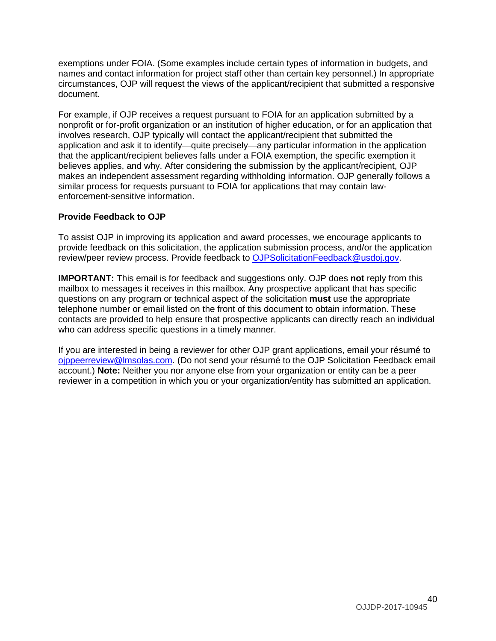exemptions under FOIA. (Some examples include certain types of information in budgets, and names and contact information for project staff other than certain key personnel.) In appropriate circumstances, OJP will request the views of the applicant/recipient that submitted a responsive document.

For example, if OJP receives a request pursuant to FOIA for an application submitted by a nonprofit or for-profit organization or an institution of higher education, or for an application that involves research, OJP typically will contact the applicant/recipient that submitted the application and ask it to identify—quite precisely—any particular information in the application that the applicant/recipient believes falls under a FOIA exemption, the specific exemption it believes applies, and why. After considering the submission by the applicant/recipient, OJP makes an independent assessment regarding withholding information. OJP generally follows a similar process for requests pursuant to FOIA for applications that may contain lawenforcement-sensitive information.

#### <span id="page-39-0"></span>**Provide Feedback to OJP**

To assist OJP in improving its application and award processes, we encourage applicants to provide feedback on this solicitation, the application submission process, and/or the application review/peer review process. Provide feedback to [OJPSolicitationFeedback@usdoj.gov.](mailto:OJPSolicitationFeedback@usdoj.gov)

**IMPORTANT:** This email is for feedback and suggestions only. OJP does **not** reply from this mailbox to messages it receives in this mailbox. Any prospective applicant that has specific questions on any program or technical aspect of the solicitation **must** use the appropriate telephone number or email listed on the front of this document to obtain information. These contacts are provided to help ensure that prospective applicants can directly reach an individual who can address specific questions in a timely manner.

If you are interested in being a reviewer for other OJP grant applications, email your résumé to [ojppeerreview@lmsolas.com.](mailto:ojppeerreview@lmsolas.com) (Do not send your résumé to the OJP Solicitation Feedback email account.) **Note:** Neither you nor anyone else from your organization or entity can be a peer reviewer in a competition in which you or your organization/entity has submitted an application.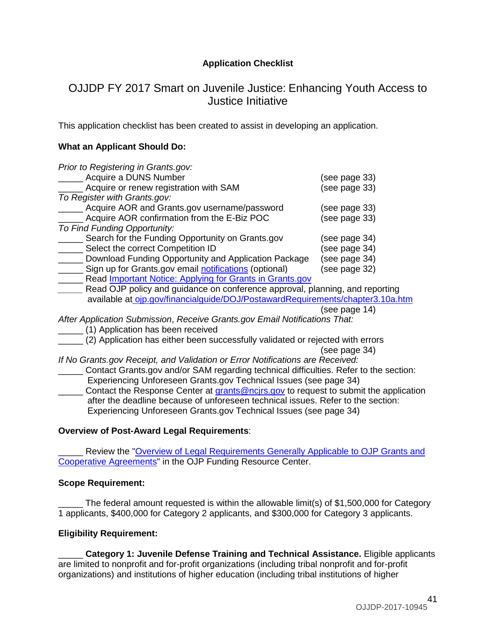# **Application Checklist**

# <span id="page-40-0"></span>OJJDP FY 2017 Smart on Juvenile Justice: Enhancing Youth Access to Justice Initiative

This application checklist has been created to assist in developing an application.

### **What an Applicant Should Do:**

| Prior to Registering in Grants.gov:                                            |               |
|--------------------------------------------------------------------------------|---------------|
| Acquire a DUNS Number                                                          | (see page 33) |
| Acquire or renew registration with SAM                                         | (see page 33) |
| To Register with Grants.gov:                                                   |               |
| Acquire AOR and Grants.gov username/password                                   | (see page 33) |
| Acquire AOR confirmation from the E-Biz POC                                    | (see page 33) |
| To Find Funding Opportunity:                                                   |               |
| Search for the Funding Opportunity on Grants.gov                               | (see page 34) |
| Select the correct Competition ID                                              | (see page 34) |
| Download Funding Opportunity and Application Package                           | (see page 34) |
| Sign up for Grants.gov email notifications (optional)                          | (see page 32) |
| Read Important Notice: Applying for Grants in Grants.gov                       |               |
| Read OJP policy and guidance on conference approval, planning, and reporting   |               |
| available at ojp.gov/financialguide/DOJ/PostawardRequirements/chapter3.10a.htm |               |

(see page 14)

*After Application Submission*, *Receive Grants.gov Email Notifications That:*

\_\_\_\_\_ (1) Application has been received

\_\_\_\_\_ (2) Application has either been successfully validated or rejected with errors (see page 34)

*If No Grants.gov Receipt, and Validation or Error Notifications are Received:*

\_\_\_\_\_ Contact Grants.gov and/or SAM regarding technical difficulties. Refer to the section: Experiencing Unforeseen Grants.gov Technical Issues (see page 34) Contact the Response Center at [grants@ncjrs.gov](mailto:grants@ncjrs.gov) to request to submit the application after the deadline because of unforeseen technical issues. Refer to the section: Experiencing Unforeseen Grants.gov Technical Issues (see page 34)

# **Overview of Post-Award Legal Requirements**:

Review the "Overview of Legal Requirements Generally Applicable to OJP Grants and [Cooperative Agreements"](http://ojp.gov/funding/Explore/SolicitationRequirements/index.htm) in the OJP Funding Resource Center.

#### **Scope Requirement:**

The federal amount requested is within the allowable limit(s) of \$1,500,000 for Category 1 applicants, \$400,000 for Category 2 applicants, and \$300,000 for Category 3 applicants.

# **Eligibility Requirement:**

\_\_\_\_\_ **Category 1: Juvenile Defense Training and Technical Assistance.** Eligible applicants are limited to nonprofit and for-profit organizations (including tribal nonprofit and for-profit organizations) and institutions of higher education (including tribal institutions of higher